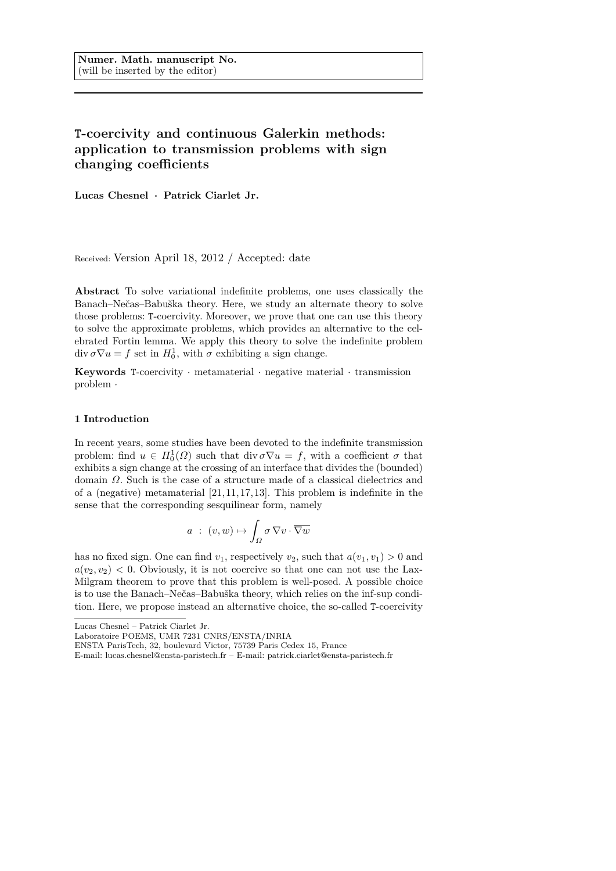# **T-coercivity and continuous Galerkin methods: application to transmission problems with sign changing coefficients**

**Lucas Chesnel · Patrick Ciarlet Jr.**

Received: Version April 18, 2012 / Accepted: date

**Abstract** To solve variational indefinite problems, one uses classically the Banach–Nečas–Babuška theory. Here, we study an alternate theory to solve those problems: T-coercivity. Moreover, we prove that one can use this theory to solve the approximate problems, which provides an alternative to the celebrated Fortin lemma. We apply this theory to solve the indefinite problem  $\operatorname{div} \sigma \nabla u = f$  set in  $H_0^1$ , with  $\sigma$  exhibiting a sign change.

**Keywords** T-coercivity · metamaterial · negative material · transmission problem ·

### **1 Introduction**

In recent years, some studies have been devoted to the indefinite transmission problem: find  $u \in H_0^1(\Omega)$  such that div  $\sigma \nabla u = f$ , with a coefficient  $\sigma$  that exhibits a sign change at the crossing of an interface that divides the (bounded) domain *Ω*. Such is the case of a structure made of a classical dielectrics and of a (negative) metamaterial  $[21, 11, 17, 13]$ . This problem is indefinite in the sense that the corresponding sesquilinear form, namely

$$
a : (v, w) \mapsto \int_{\Omega} \sigma \, \nabla v \cdot \overline{\nabla w}
$$

has no fixed sign. One can find  $v_1$ , respectively  $v_2$ , such that  $a(v_1, v_1) > 0$  and  $a(v_2, v_2)$  < 0. Obviously, it is not coercive so that one can not use the Lax-Milgram theorem to prove that this problem is well-posed. A possible choice is to use the Banach–Nečas–Babuška theory, which relies on the inf-sup condition. Here, we propose instead an alternative choice, the so-called T-coercivity

Lucas Chesnel – Patrick Ciarlet Jr.

Laboratoire POEMS, UMR 7231 CNRS/ENSTA/INRIA

ENSTA ParisTech, 32, boulevard Victor, 75739 Paris Cedex 15, France

E-mail: lucas.chesnel@ensta-paristech.fr – E-mail: patrick.ciarlet@ensta-paristech.fr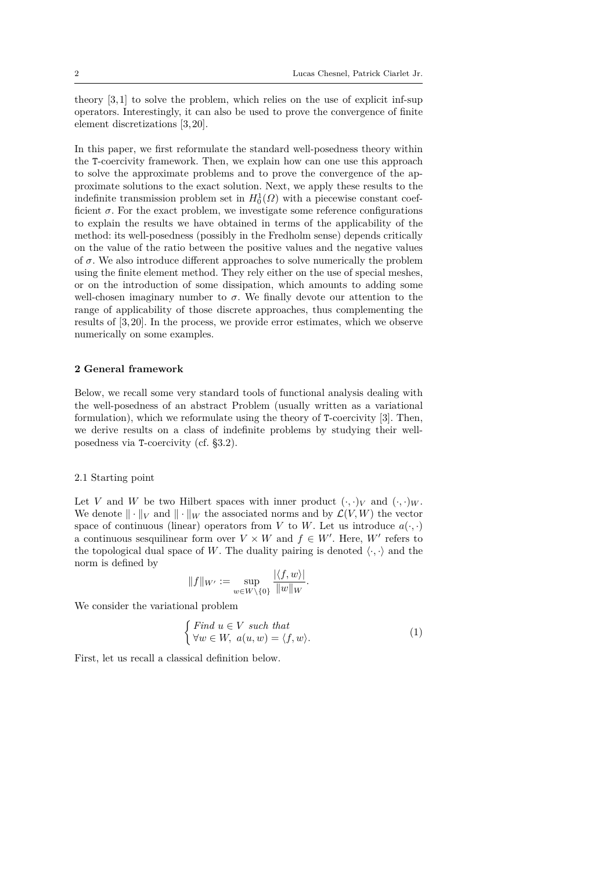theory [3, 1] to solve the problem, which relies on the use of explicit inf-sup operators. Interestingly, it can also be used to prove the convergence of finite element discretizations [3, 20].

In this paper, we first reformulate the standard well-posedness theory within the T-coercivity framework. Then, we explain how can one use this approach to solve the approximate problems and to prove the convergence of the approximate solutions to the exact solution. Next, we apply these results to the indefinite transmission problem set in  $H_0^1(\Omega)$  with a piecewise constant coefficient  $\sigma$ . For the exact problem, we investigate some reference configurations to explain the results we have obtained in terms of the applicability of the method: its well-posedness (possibly in the Fredholm sense) depends critically on the value of the ratio between the positive values and the negative values of  $\sigma$ . We also introduce different approaches to solve numerically the problem using the finite element method. They rely either on the use of special meshes, or on the introduction of some dissipation, which amounts to adding some well-chosen imaginary number to  $\sigma$ . We finally devote our attention to the range of applicability of those discrete approaches, thus complementing the results of [3, 20]. In the process, we provide error estimates, which we observe numerically on some examples.

# **2 General framework**

Below, we recall some very standard tools of functional analysis dealing with the well-posedness of an abstract Problem (usually written as a variational formulation), which we reformulate using the theory of T-coercivity [3]. Then, we derive results on a class of indefinite problems by studying their wellposedness via T-coercivity (cf. §3.2).

#### 2.1 Starting point

Let *V* and *W* be two Hilbert spaces with inner product  $(\cdot, \cdot)_V$  and  $(\cdot, \cdot)_W$ . We denote  $\|\cdot\|_V$  and  $\|\cdot\|_W$  the associated norms and by  $\mathcal{L}(V, W)$  the vector space of continuous (linear) operators from *V* to *W*. Let us introduce  $a(\cdot, \cdot)$ a continuous sesquilinear form over  $V \times W$  and  $f \in W'$ . Here,  $W'$  refers to the topological dual space of W. The duality pairing is denoted  $\langle \cdot, \cdot \rangle$  and the norm is defined by

$$
||f||_{W'} := \sup_{w \in W \setminus \{0\}} \frac{|\langle f, w \rangle|}{||w||_W}
$$

We consider the variational problem

$$
\begin{cases} Find \ u \in V \ such \ that \\ \forall w \in W, \ a(u, w) = \langle f, w \rangle. \end{cases} \tag{1}
$$

*.*

First, let us recall a classical definition below.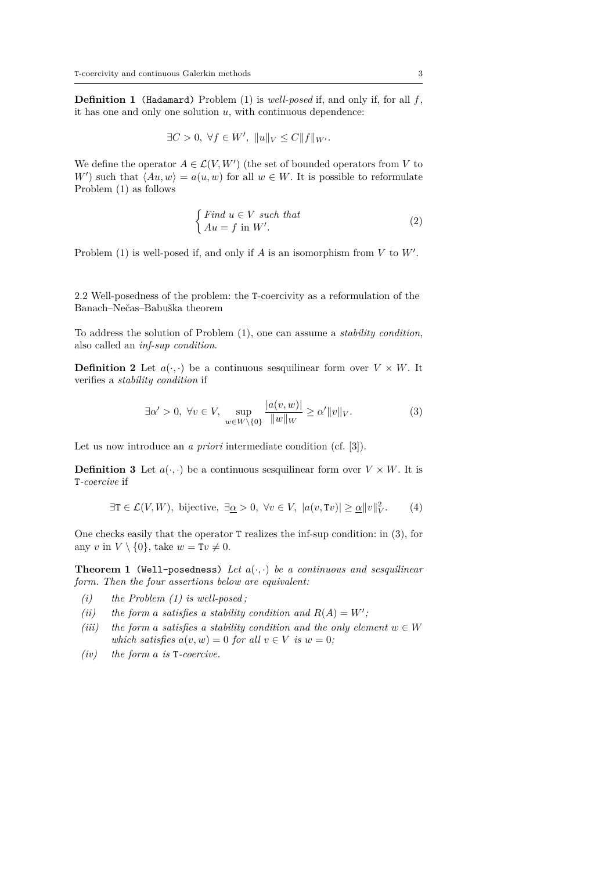**Definition 1** (Hadamard) Problem (1) is *well-posed* if, and only if, for all *f*, it has one and only one solution *u*, with continuous dependence:

$$
\exists C > 0, \ \forall f \in W', \ \|u\|_V \le C \|f\|_{W'}.
$$

We define the operator  $A \in \mathcal{L}(V, W')$  (the set of bounded operators from V to *W*<sup> $\prime$ </sup>) such that  $\langle Au, w \rangle = a(u, w)$  for all  $w \in W$ . It is possible to reformulate Problem (1) as follows

$$
\begin{cases} Find \ u \in V \ such \ that \\ Au = f \ in \ W'. \end{cases} \tag{2}
$$

Problem  $(1)$  is well-posed if, and only if *A* is an isomorphism from *V* to *W'*.

2.2 Well-posedness of the problem: the T-coercivity as a reformulation of the Banach–Nečas–Babuška theorem

To address the solution of Problem (1), one can assume a *stability condition*, also called an *inf-sup condition*.

**Definition 2** Let  $a(\cdot, \cdot)$  be a continuous sesquilinear form over  $V \times W$ . It verifies a *stability condition* if

$$
\exists \alpha' > 0, \ \forall v \in V, \ \sup_{w \in W \setminus \{0\}} \frac{|a(v, w)|}{\|w\|_{W}} \ge \alpha' \|v\|_{V}.
$$
 (3)

Let us now introduce an *a priori* intermediate condition (cf. [3]).

**Definition 3** Let  $a(\cdot, \cdot)$  be a continuous sesquilinear form over  $V \times W$ . It is T*-coercive* if

$$
\exists \mathbf{T} \in \mathcal{L}(V, W), \text{ bijective, } \exists \underline{\alpha} > 0, \forall v \in V, \ |a(v, Tv)| \ge \underline{\alpha} ||v||_V^2. \tag{4}
$$

One checks easily that the operator T realizes the inf-sup condition: in (3), for any *v* in  $V \setminus \{0\}$ , take  $w = Tv \neq 0$ .

**Theorem 1** (Well-posedness) Let  $a(\cdot, \cdot)$  be a continuous and sesquilinear *form. Then the four assertions below are equivalent:*

- *(i) the Problem (1) is well-posed ;*
- *(ii)* the form a satisfies a stability condition and  $R(A) = W'$ ;
- *(iii)* the form a satisfies a stability condition and the only element  $w \in W$ *which satisfies*  $a(v, w) = 0$  *for all*  $v \in V$  *is*  $w = 0$ ;
- *(iv) the form a is* T*-coercive.*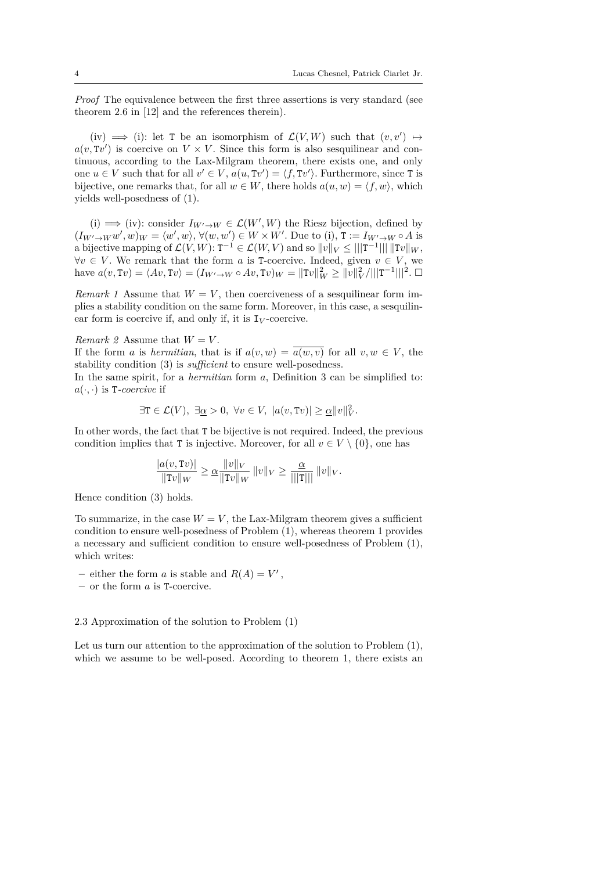*Proof* The equivalence between the first three assertions is very standard (see theorem 2.6 in [12] and the references therein).

(iv)  $\implies$  (i): let T be an isomorphism of  $\mathcal{L}(V, W)$  such that  $(v, v') \mapsto$  $a(v, Tv')$  is coercive on  $V \times V$ . Since this form is also sesquilinear and continuous, according to the Lax-Milgram theorem, there exists one, and only one  $u \in V$  such that for all  $v' \in V$ ,  $a(u, Tv') = \langle f, Tv' \rangle$ . Furthermore, since T is bijective, one remarks that, for all  $w \in W$ , there holds  $a(u, w) = \langle f, w \rangle$ , which yields well-posedness of (1).

(i)  $\implies$  (iv): consider *I<sub>W'→W</sub>* ∈  $\mathcal{L}(W', W)$  the Riesz bijection, defined by  $(I_{W' \to W} w', w)_W = \langle w', w \rangle, \forall (w, w') \in W \times W'.$  Due to (i),  $T := I_{W' \to W} \circ A$  is a bijective mapping of  $\mathcal{L}(V, W)$ :  $T^{-1} \in \mathcal{L}(W, V)$  and so  $||v||_V \le |||T^{-1}|| || ||Tv||_W$ ,  $∀v ∈ V$ . We remark that the form *a* is T-coercive. Indeed, given  $v ∈ V$ , we have  $a(v, Tv) = \langle Av, Tv \rangle = (I_{W' \to W} \circ Av, Tv)_W = ||Tv||_W^2 \ge ||v||_V^2 / |||T^{-1}|||^2$ .  $\Box$ 

*Remark 1* Assume that  $W = V$ , then coerciveness of a sesquilinear form implies a stability condition on the same form. Moreover, in this case, a sesquilinear form is coercive if, and only if, it is  $I_V$ -coercive.

*Remark 2* Assume that  $W = V$ .

If the form *a* is *hermitian*, that is if  $a(v, w) = \overline{a(w, v)}$  for all  $v, w \in V$ , the stability condition (3) is *sufficient* to ensure well-posedness.

In the same spirit, for a *hermitian* form *a*, Definition 3 can be simplified to:  $a(\cdot, \cdot)$  is T-coercive if

$$
\exists \mathbf{T} \in \mathcal{L}(V), \ \exists \underline{\alpha} > 0, \ \forall v \in V, \ |a(v, Tv)| \ge \underline{\alpha} ||v||_V^2.
$$

In other words, the fact that T be bijective is not required. Indeed, the previous condition implies that T is injective. Moreover, for all  $v \in V \setminus \{0\}$ , one has

$$
\frac{|a(v, Tv)|}{\|Tv\|_W} \ge \underline{\alpha} \frac{\|v\|_V}{\|Tv\|_W} \|v\|_V \ge \frac{\underline{\alpha}}{\|T\|} \|v\|_V.
$$

Hence condition (3) holds.

To summarize, in the case  $W = V$ , the Lax-Milgram theorem gives a sufficient condition to ensure well-posedness of Problem (1), whereas theorem 1 provides a necessary and sufficient condition to ensure well-posedness of Problem (1), which writes:

- $-$  either the form *a* is stable and  $R(A) = V'$ ,
- **–** or the form *a* is T-coercive.

### 2.3 Approximation of the solution to Problem (1)

Let us turn our attention to the approximation of the solution to Problem (1), which we assume to be well-posed. According to theorem 1, there exists an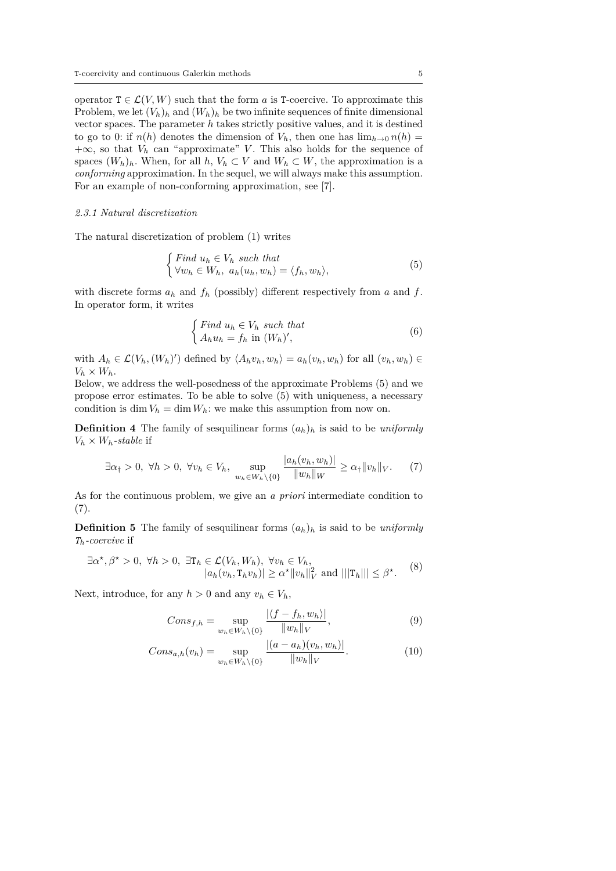operator  $T \in \mathcal{L}(V, W)$  such that the form *a* is T-coercive. To approximate this Problem, we let  $(V_h)_h$  and  $(W_h)_h$  be two infinite sequences of finite dimensional vector spaces. The parameter *h* takes strictly positive values, and it is destined to go to 0: if  $n(h)$  denotes the dimension of  $V_h$ , then one has  $\lim_{h\to 0} n(h)$  $+\infty$ , so that  $V_h$  can "approximate" *V*. This also holds for the sequence of spaces  $(W_h)_h$ . When, for all  $h, V_h \subset V$  and  $W_h \subset W$ , the approximation is a *conforming* approximation. In the sequel, we will always make this assumption. For an example of non-conforming approximation, see [7].

### *2.3.1 Natural discretization*

The natural discretization of problem (1) writes

$$
\begin{cases} \text{Find } u_h \in V_h \text{ such that} \\ \forall w_h \in W_h, \ a_h(u_h, w_h) = \langle f_h, w_h \rangle, \end{cases} \tag{5}
$$

with discrete forms  $a_h$  and  $f_h$  (possibly) different respectively from  $a$  and  $f$ . In operator form, it writes

$$
\begin{cases} Find \ u_h \in V_h \ such \ that \\ A_h u_h = f_h \ in \ (W_h)', \end{cases} \tag{6}
$$

with  $A_h \in \mathcal{L}(V_h, (W_h)')$  defined by  $\langle A_h v_h, w_h \rangle = a_h(v_h, w_h)$  for all  $(v_h, w_h) \in$  $V_h \times W_h$ .

Below, we address the well-posedness of the approximate Problems (5) and we propose error estimates. To be able to solve (5) with uniqueness, a necessary condition is dim  $V_h = \dim W_h$ : we make this assumption from now on.

**Definition 4** The family of sesquilinear forms  $(a_h)_h$  is said to be *uniformly*  $V_h \times W_h$ *-stable* if

$$
\exists \alpha_{\uparrow} > 0, \ \forall h > 0, \ \forall v_h \in V_h, \ \sup_{w_h \in W_h \setminus \{0\}} \frac{|a_h(v_h, w_h)|}{\|w_h\|_W} \ge \alpha_{\uparrow} \|v_h\|_V. \tag{7}
$$

As for the continuous problem, we give an *a priori* intermediate condition to  $(7).$ 

**Definition 5** The family of sesquilinear forms  $(a_h)_h$  is said to be *uniformly Th-coercive* if

$$
\exists \alpha^*, \beta^* > 0, \ \forall h > 0, \ \exists \mathbf{T}_h \in \mathcal{L}(V_h, W_h), \ \forall v_h \in V_h, |a_h(v_h, \mathbf{T}_h v_h)| \ge \alpha^* ||v_h||_V^2 \text{ and } |||\mathbf{T}_h||| \le \beta^*.
$$
 (8)

Next, introduce, for any  $h > 0$  and any  $v_h \in V_h$ ,

$$
Cons_{f,h} = \sup_{w_h \in W_h \setminus \{0\}} \frac{\left| \langle f - f_h, w_h \rangle \right|}{\|w_h\|_V},\tag{9}
$$

$$
Cons_{a,h}(v_h) = \sup_{w_h \in W_h \setminus \{0\}} \frac{|(a - a_h)(v_h, w_h)|}{\|w_h\|_V}.
$$
 (10)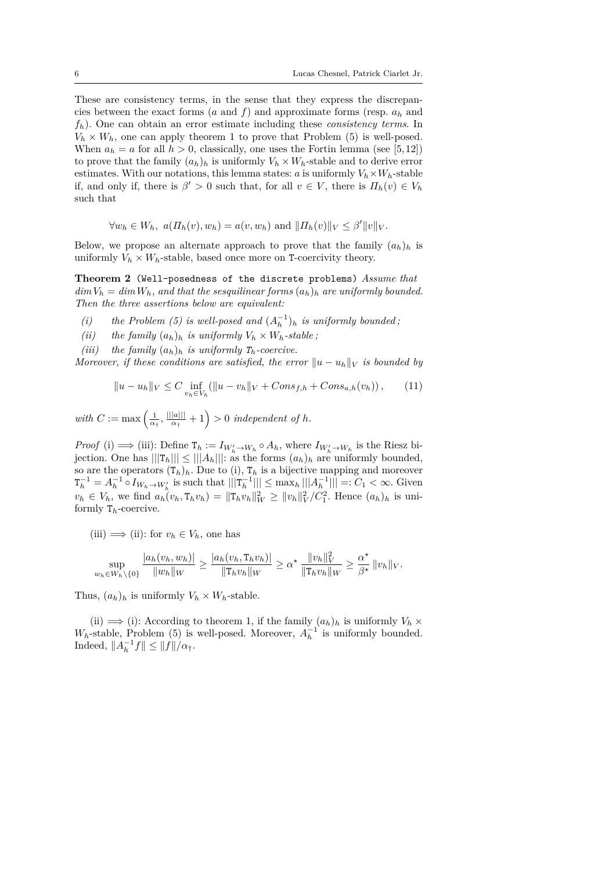These are consistency terms, in the sense that they express the discrepancies between the exact forms (*a* and *f*) and approximate forms (resp.  $a_h$  and *fh*). One can obtain an error estimate including these *consistency terms*. In  $V_h \times W_h$ , one can apply theorem 1 to prove that Problem (5) is well-posed. When  $a_h = a$  for all  $h > 0$ , classically, one uses the Fortin lemma (see [5,12]) to prove that the family  $(a_h)_h$  is uniformly  $V_h \times W_h$ -stable and to derive error estimates. With our notations, this lemma states: *a* is uniformly  $V_h \times W_h$ -stable if, and only if, there is  $\beta' > 0$  such that, for all  $v \in V$ , there is  $\Pi_h(v) \in V_h$ such that

$$
\forall w_h \in W_h, a(\Pi_h(v), w_h) = a(v, w_h)
$$
 and  $||\Pi_h(v)||_V \leq \beta'||v||_V$ .

Below, we propose an alternate approach to prove that the family  $(a_h)_h$  is uniformly  $V_h \times W_h$ -stable, based once more on T-coercivity theory.

**Theorem 2** (Well-posedness of the discrete problems) *Assume that*  $\dim V_h = \dim W_h$ , and that the sesquilinear forms  $(a_h)_h$  are uniformly bounded. *Then the three assertions below are equivalent:*

- *(i)* the Problem (5) is well-posed and  $(A_h^{-1})_h$  is uniformly bounded;
- *(ii)* the family  $(a_h)_h$  *is uniformly*  $V_h \times W_h$ -stable;
- *(iii)* the family  $(a_h)_h$  *is uniformly*  $T_h$ *-coercive.*

*Moreover, if these conditions are satisfied, the error*  $||u - u_h||_V$  *is bounded by* 

$$
||u - u_h||_V \le C \inf_{v_h \in V_h} (||u - v_h||_V + Cons_{f,h} + Cons_{a,h}(v_h)), \qquad (11)
$$

*with*  $C := \max\left(\frac{1}{\alpha_{\dagger}}, \frac{||||a|||}{\alpha_{\dagger}}\right)$  $\frac{|a|||}{\alpha_{\dagger}}+1$  > 0 *independent of h.* 

*Proof* (i)  $\implies$  (iii): Define  $T_h := I_{W'_h \to W_h} \circ A_h$ , where  $I_{W'_h \to W_h}$  is the Riesz bijection. One has  $|||{\bf T}_h||| \le |||A_h|||$ : as the forms  $(a_h)_h$  are uniformly bounded, so are the operators  $(T_h)_h$ . Due to (i),  $T_h$  is a bijective mapping and moreover  $T_h^{-1} = A_h^{-1} \circ I_{W_h \to W_h'}$  is such that  $|||T_h^{-1}||| \le \max_h |||A_h^{-1}||| =: C_1 < \infty$ . Given  $v_h \in V_h$ , we find  $a_h(v_h, T_h v_h) = ||T_h v_h||_W^2 \ge ||v_h||_V^2/C_1^2$ . Hence  $(a_h)_h$  is uniformly T*h*-coercive.

(iii)  $\implies$  (ii): for  $v_h \in V_h$ , one has

$$
\sup_{w_h \in W_h \setminus \{0\}} \frac{|a_h(v_h, w_h)|}{\|w_h\|_W} \ge \frac{|a_h(v_h, \texttt{T}_h v_h)|}{\|\texttt{T}_h v_h\|_W} \ge \alpha^* \frac{\|v_h\|_V^2}{\|\texttt{T}_h v_h\|_W} \ge \frac{\alpha^*}{\beta^*} \|v_h\|_V.
$$

Thus,  $(a_h)_h$  is uniformly  $V_h \times W_h$ -stable.

(ii)  $\implies$  (i): According to theorem 1, if the family  $(a_h)_h$  is uniformly  $V_h \times$ *W<sub>h</sub>*-stable, Problem (5) is well-posed. Moreover,  $A_h^{-1}$  is uniformly bounded. *Indeed*,  $||A_h^{-1}f|| ≤ ||f||/α<sub>†</sub>$ .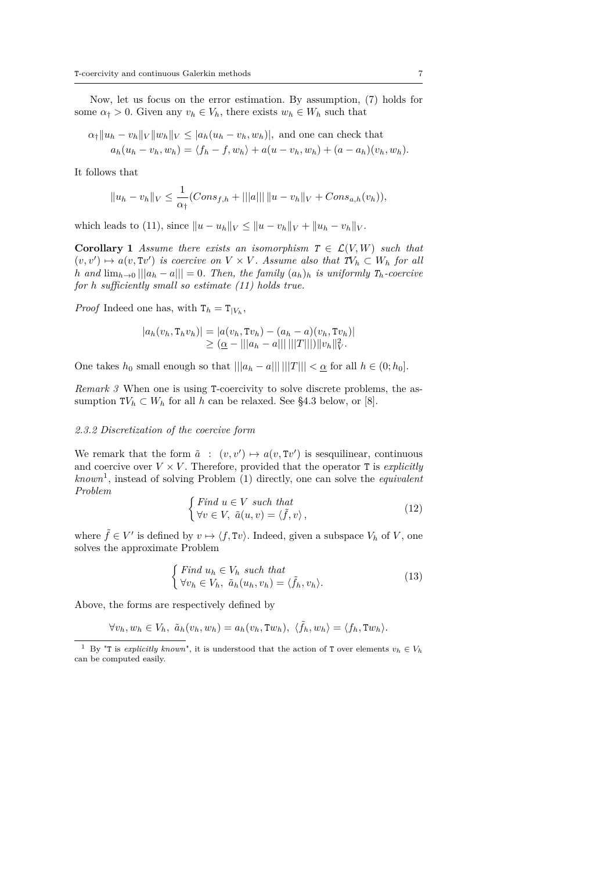Now, let us focus on the error estimation. By assumption, (7) holds for some  $\alpha_{\dagger} > 0$ . Given any  $v_h \in V_h$ , there exists  $w_h \in W_h$  such that

$$
\alpha_{\dagger} \|u_h - v_h\|_V \|w_h\|_V \le |a_h(u_h - v_h, w_h)|, \text{ and one can check that}
$$
  

$$
a_h(u_h - v_h, w_h) = \langle f_h - f, w_h \rangle + a(u - v_h, w_h) + (a - a_h)(v_h, w_h).
$$

It follows that

$$
||u_h - v_h||_V \le \frac{1}{\alpha_{\dagger}}(Cons_{f,h} + |||a|| \, ||u - v_h||_V + Cons_{a,h}(v_h)),
$$

which leads to (11), since  $||u - u_h||_V \le ||u - v_h||_V + ||u_h - v_h||_V$ .

**Corollary 1** *Assume there exists an isomorphism*  $T \in \mathcal{L}(V, W)$  *such that*  $(v, v') \mapsto a(v, Tv')$  *is coercive on*  $V \times V$ *. Assume also that*  $TV_h \subset W_h$  *for all h* and  $\lim_{h\to 0}|||a_h - a||| = 0$ . Then, the family  $(a_h)_h$  is uniformly  $T_h$ -coercive *for h sufficiently small so estimate (11) holds true.*

*Proof* Indeed one has, with  $T_h = T_{|V_h}$ ,

$$
|a_h(v_h, T_h v_h)| = |a(v_h, Tv_h) - (a_h - a)(v_h, Tv_h)|
$$
  
\n
$$
\geq (\underline{\alpha} - |||a_h - a|||||||||T|||) ||v_h||_V^2.
$$

One takes  $h_0$  small enough so that  $|||a_h - a|||| |||T||| < \underline{\alpha}$  for all  $h \in (0; h_0]$ .

*Remark 3* When one is using T-coercivity to solve discrete problems, the assumption  $TV_h \subset W_h$  for all *h* can be relaxed. See §4.3 below, or [8].

#### *2.3.2 Discretization of the coercive form*

We remark that the form  $\tilde{a}$  :  $(v, v') \mapsto a(v, Tv')$  is sesquilinear, continuous and coercive over  $V \times V$ . Therefore, provided that the operator T is *explicitly known*<sup>1</sup> , instead of solving Problem (1) directly, one can solve the *equivalent Problem*

$$
\begin{cases}\n\text{Find } u \in V \text{ such that} \\
\forall v \in V, \ \tilde{a}(u, v) = \langle \tilde{f}, v \rangle,\n\end{cases} \tag{12}
$$

where  $\tilde{f} \in V'$  is defined by  $v \mapsto \langle f, Tv \rangle$ . Indeed, given a subspace  $V_h$  of  $V$ , one solves the approximate Problem

$$
\begin{cases} \text{Find } u_h \in V_h \text{ such that} \\ \forall v_h \in V_h, \ \tilde{a}_h(u_h, v_h) = \langle \tilde{f}_h, v_h \rangle. \end{cases} \tag{13}
$$

Above, the forms are respectively defined by

$$
\forall v_h, w_h \in V_h, \ \tilde{a}_h(v_h, w_h) = a_h(v_h, Tw_h), \ \langle \tilde{f}_h, w_h \rangle = \langle f_h, Tw_h \rangle.
$$

<sup>&</sup>lt;sup>1</sup> By "T is *explicitly known*", it is understood that the action of T over elements  $v_h \in V_h$ can be computed easily.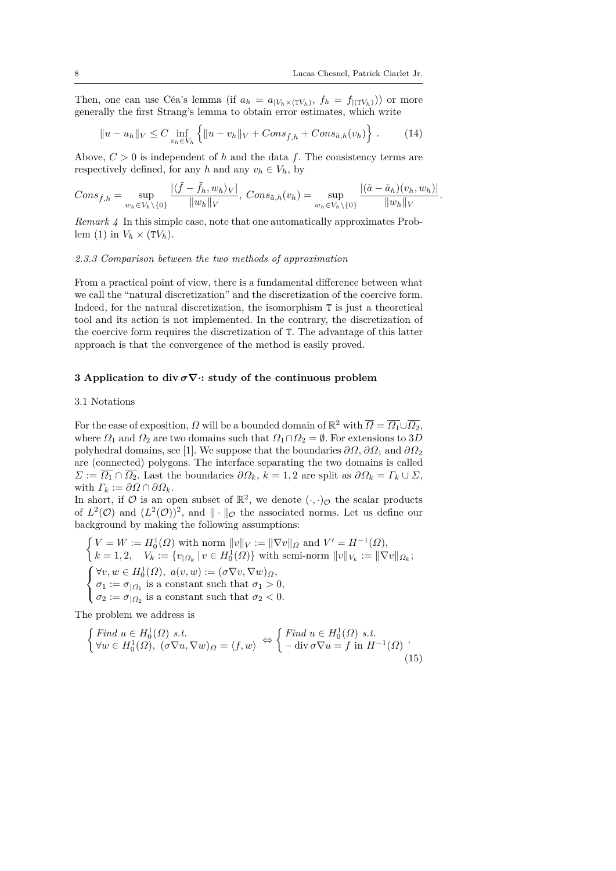Then, one can use Céa's lemma (if  $a_h = a_{|V_h \times (TV_h)}, f_h = f_{|(TV_h)}$ )) or more generally the first Strang's lemma to obtain error estimates, which write

$$
||u - u_h||_V \le C \inf_{v_h \in V_h} \left\{ ||u - v_h||_V + Cons_{\tilde{f},h} + Cons_{\tilde{a},h}(v_h) \right\}.
$$
 (14)

Above,  $C > 0$  is independent of h and the data f. The consistency terms are respectively defined, for any *h* and any  $v_h \in V_h$ , by

$$
Cons_{\tilde{f},h} = \sup_{w_h \in V_h \setminus \{0\}} \frac{|\langle \tilde{f} - \tilde{f}_h, w_h \rangle_V|}{\|w_h\|_V}, \ Cons_{\tilde{a},h}(v_h) = \sup_{w_h \in V_h \setminus \{0\}} \frac{|(\tilde{a} - \tilde{a}_h)(v_h, w_h)|}{\|w_h\|_V}.
$$

*Remark 4* In this simple case, note that one automatically approximates Problem (1) in  $V_h \times (TV_h)$ .

### *2.3.3 Comparison between the two methods of approximation*

From a practical point of view, there is a fundamental difference between what we call the "natural discretization" and the discretization of the coercive form. Indeed, for the natural discretization, the isomorphism T is just a theoretical tool and its action is not implemented. In the contrary, the discretization of the coercive form requires the discretization of T. The advantage of this latter approach is that the convergence of the method is easily proved.

### **3 Application to div** *σ***∇·: study of the continuous problem**

### 3.1 Notations

For the ease of exposition,  $\Omega$  will be a bounded domain of  $\mathbb{R}^2$  with  $\overline{\Omega} = \overline{\Omega_1} \cup \overline{\Omega_2}$ , where  $\Omega_1$  and  $\Omega_2$  are two domains such that  $\Omega_1 \cap \Omega_2 = \emptyset$ . For extensions to 3*D* polyhedral domains, see [1]. We suppose that the boundaries *∂Ω*, *∂Ω*<sup>1</sup> and *∂Ω*<sup>2</sup> are (connected) polygons. The interface separating the two domains is called  $\Sigma := \overline{\Omega_1} \cap \overline{\Omega_2}$ . Last the boundaries  $\partial \Omega_k$ ,  $k = 1, 2$  are split as  $\partial \Omega_k = \Gamma_k \cup \Sigma$ , with  $\Gamma_k := \partial \Omega \cap \partial \Omega_k$ .

In short, if  $\mathcal O$  is an open subset of  $\mathbb R^2$ , we denote  $(\cdot, \cdot)_{\mathcal O}$  the scalar products of  $L^2(\mathcal{O})$  and  $(L^2(\mathcal{O}))^2$ , and  $\|\cdot\|_{\mathcal{O}}$  the associated norms. Let us define our background by making the following assumptions:

$$
\begin{cases}\nV = W := H_0^1(\Omega) \text{ with norm } ||v||_V := ||\nabla v||_{\Omega} \text{ and } V' = H^{-1}(\Omega), \\
k = 1, 2, \quad V_k := \{v_{|\Omega_k} \mid v \in H_0^1(\Omega)\} \text{ with semi-norm } ||v||_{V_k} := ||\nabla v||_{\Omega_k}; \\
\begin{cases}\n\forall v, w \in H_0^1(\Omega), a(v, w) := (\sigma \nabla v, \nabla w)_{\Omega}, \\
\sigma_1 := \sigma_{|\Omega_1} \text{ is a constant such that } \sigma_1 > 0, \\
\sigma_2 := \sigma_{|\Omega_2} \text{ is a constant such that } \sigma_2 < 0.\n\end{cases}
$$

The problem we address is

$$
\begin{cases}\n\text{Find } u \in H_0^1(\Omega) \text{ s.t. } \\
\forall w \in H_0^1(\Omega), \ (\sigma \nabla u, \nabla w)_{\Omega} = \langle f, w \rangle \end{cases} \Leftrightarrow \begin{cases}\n\text{Find } u \in H_0^1(\Omega) \text{ s.t. } \\
-\text{div } \sigma \nabla u = f \text{ in } H^{-1}(\Omega) \\
\end{cases} \tag{15}
$$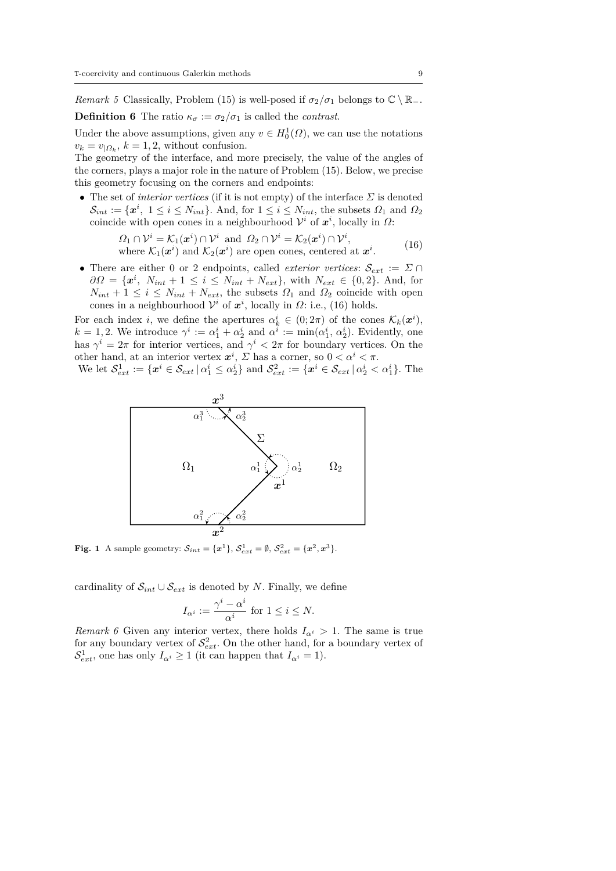*Remark 5* Classically, Problem (15) is well-posed if  $\sigma_2/\sigma_1$  belongs to  $\mathbb{C} \setminus \mathbb{R}_-$ . **Definition 6** The ratio  $\kappa_{\sigma} := \sigma_2/\sigma_1$  is called the *contrast*.

Under the above assumptions, given any  $v \in H_0^1(\Omega)$ , we can use the notations  $v_k = v_{\vert \Omega_k}$ ,  $k = 1, 2$ , without confusion.

The geometry of the interface, and more precisely, the value of the angles of the corners, plays a major role in the nature of Problem (15). Below, we precise this geometry focusing on the corners and endpoints:

• The set of *interior vertices* (if it is not empty) of the interface  $\Sigma$  is denoted  $\mathcal{S}_{int} := \{ \mathbf{x}^i, 1 \leq i \leq N_{int} \}$ . And, for  $1 \leq i \leq N_{int}$ , the subsets  $\Omega_1$  and  $\Omega_2$ coincide with open cones in a neighbourhood  $\mathcal{V}^i$  of  $\mathbf{x}^i$ , locally in  $\Omega$ :

$$
\Omega_1 \cap \mathcal{V}^i = \mathcal{K}_1(\mathbf{x}^i) \cap \mathcal{V}^i \text{ and } \Omega_2 \cap \mathcal{V}^i = \mathcal{K}_2(\mathbf{x}^i) \cap \mathcal{V}^i,
$$
  
where  $\mathcal{K}_1(\mathbf{x}^i)$  and  $\mathcal{K}_2(\mathbf{x}^i)$  are open cones, centered at  $\mathbf{x}^i$ . (16)

• There are either 0 or 2 endpoints, called *exterior vertices*:  $\mathcal{S}_{ext} := \Sigma \cap$  $\partial\Omega = {\mathbf{x}^i, N_{int} + 1 \le i \le N_{int} + N_{ext}}$ , with  $N_{ext} \in \{0, 2\}$ . And, for  $N_{int} + 1 \leq i \leq N_{int} + N_{ext}$ , the subsets  $\Omega_1$  and  $\Omega_2$  coincide with open cones in a neighbourhood  $\mathcal{V}^i$  of  $\mathbf{x}^i$ , locally in  $\Omega$ : i.e., (16) holds.

For each index *i*, we define the apertures  $\alpha_k^i \in (0, 2\pi)$  of the cones  $\mathcal{K}_k(\boldsymbol{x}^i)$ ,  $k = 1, 2$ . We introduce  $\gamma^i := \alpha_1^i + \alpha_2^i$  and  $\alpha^i := \min(\alpha_1^i, \alpha_2^i)$ . Evidently, one has  $\gamma^i = 2\pi$  for interior vertices, and  $\gamma^i < 2\pi$  for boundary vertices. On the other hand, at an interior vertex  $x^i$ ,  $\Sigma$  has a corner, so  $0 < \alpha^i < \pi$ .

We let  $S_{ext}^1 := \{ x^i \in S_{ext} \mid \alpha_1^i \leq \alpha_2^i \}$  and  $S_{ext}^2 := \{ x^i \in S_{ext} \mid \alpha_2^i < \alpha_1^i \}$ . The



**Fig. 1** A sample geometry:  $S_{int} = \{x^1\}, S_{ext}^1 = \emptyset, S_{ext}^2 = \{x^2, x^3\}.$ 

cardinality of  $S_{int} \cup S_{ext}$  is denoted by *N*. Finally, we define

$$
I_{\alpha^i} := \frac{\gamma^i - \alpha^i}{\alpha^i} \text{ for } 1 \le i \le N.
$$

*Remark 6* Given any interior vertex, there holds  $I_{\alpha^i} > 1$ . The same is true for any boundary vertex of  $S^2_{ext}$ . On the other hand, for a boundary vertex of  $S_{ext}^1$ , one has only  $I_{\alpha^i} \geq 1$  (it can happen that  $I_{\alpha^i} = 1$ ).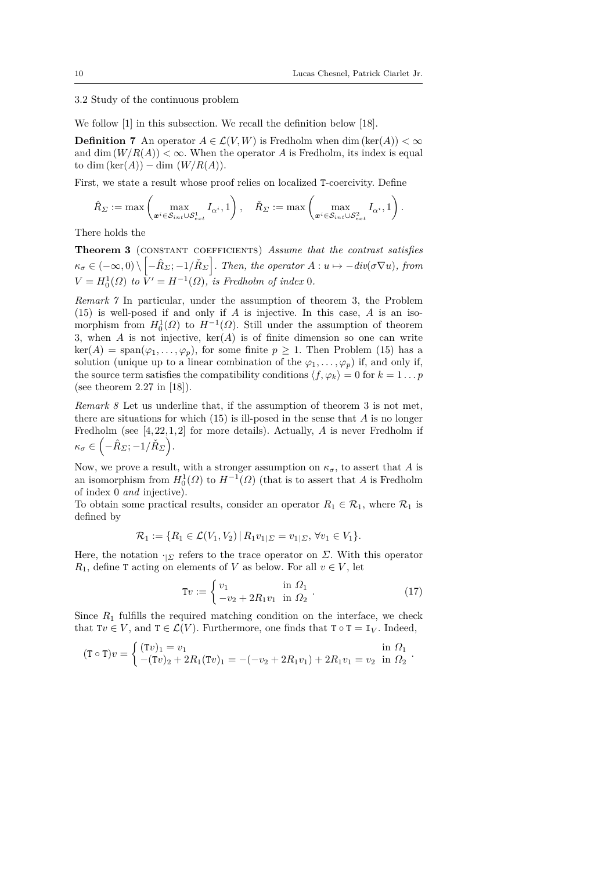3.2 Study of the continuous problem

We follow [1] in this subsection. We recall the definition below [18].

**Definition 7** An operator  $A \in \mathcal{L}(V, W)$  is Fredholm when dim (ker(*A*)) <  $\infty$ and dim  $(W/R(A)) < \infty$ . When the operator *A* is Fredholm, its index is equal to dim  $(\ker(A)) - \dim (W/R(A)).$ 

First, we state a result whose proof relies on localized T-coercivity. Define

$$
\hat{R}_{\varSigma} := \max \left( \max_{\boldsymbol{x}^i \in \mathcal{S}_{int} \cup \mathcal{S}_{ext}^1} I_{\alpha^i}, 1 \right), \quad \check{R}_{\varSigma} := \max \left( \max_{\boldsymbol{x}^i \in \mathcal{S}_{int} \cup \mathcal{S}_{ext}^2} I_{\alpha^i}, 1 \right).
$$

There holds the

**Theorem 3** (constant coefficients) *Assume that the contrast satisfies*  $\kappa_{\sigma} \in (-\infty, 0) \setminus [-\hat{R}_{\Sigma}; -1/\check{R}_{\Sigma}]$ . Then, the operator  $A: u \mapsto -div(\sigma \nabla u)$ , from  $V = H_0^1(\Omega)$  *to*  $\bar{V}' = H^{-1}(\Omega)$ *, is Fredholm of index* 0*.* 

*Remark 7* In particular, under the assumption of theorem 3, the Problem (15) is well-posed if and only if *A* is injective. In this case, *A* is an isomorphism from  $H_0^1(\Omega)$  to  $H^{-1}(\Omega)$ . Still under the assumption of theorem 3, when *A* is not injective, ker(*A*) is of finite dimension so one can write  $\ker(A) = \text{span}(\varphi_1, \ldots, \varphi_p)$ , for some finite  $p \geq 1$ . Then Problem (15) has a solution (unique up to a linear combination of the  $\varphi_1, \ldots, \varphi_p$ ) if, and only if, the source term satisfies the compatibility conditions  $\langle f, \varphi_k \rangle = 0$  for  $k = 1 \dots p$ (see theorem 2.27 in [18]).

*Remark 8* Let us underline that, if the assumption of theorem 3 is not met, there are situations for which (15) is ill-posed in the sense that *A* is no longer Fredholm (see [4,22,1,2] for more details). Actually, *A* is never Fredholm if  $\kappa_{\sigma} \in \left( -\hat{R}_{\Sigma}; -1/\check{R}_{\Sigma} \right).$ 

Now, we prove a result, with a stronger assumption on  $\kappa_{\sigma}$ , to assert that *A* is an isomorphism from  $H_0^1(\Omega)$  to  $H^{-1}(\Omega)$  (that is to assert that *A* is Fredholm of index 0 *and* injective).

To obtain some practical results, consider an operator  $R_1 \in \mathcal{R}_1$ , where  $\mathcal{R}_1$  is defined by

$$
\mathcal{R}_1 := \{ R_1 \in \mathcal{L}(V_1, V_2) \, | \, R_1 v_{1|\Sigma} = v_{1|\Sigma}, \, \forall v_1 \in V_1 \}.
$$

Here, the notation  $\cdot_{|\Sigma}$  refers to the trace operator on *Σ*. With this operator *R*<sub>1</sub>, define **T** acting on elements of *V* as below. For all  $v \in V$ , let

$$
\mathbf{T}v := \begin{cases} v_1 & \text{in } \Omega_1 \\ -v_2 + 2R_1 v_1 & \text{in } \Omega_2 \end{cases} . \tag{17}
$$

Since  $R_1$  fulfills the required matching condition on the interface, we check that  $Tv \in V$ , and  $T \in \mathcal{L}(V)$ . Furthermore, one finds that  $T \circ T = I_V$ . Indeed,

$$
(\mathbf{T} \circ \mathbf{T})v = \begin{cases} (\mathbf{T}v)_1 = v_1 & \text{in } \Omega_1 \\ -(\mathbf{T}v)_2 + 2R_1(\mathbf{T}v)_1 = -(-v_2 + 2R_1v_1) + 2R_1v_1 = v_2 & \text{in } \Omega_2 \end{cases}.
$$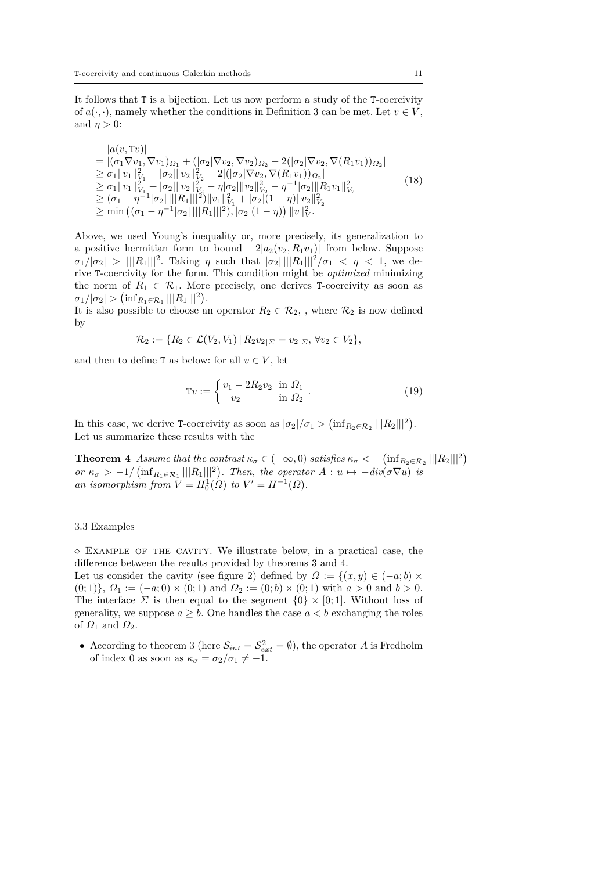It follows that T is a bijection. Let us now perform a study of the T-coercivity of  $a(\cdot, \cdot)$ , namely whether the conditions in Definition 3 can be met. Let  $v \in V$ , and  $\eta > 0$ :

$$
|a(v, Tv)|
$$
  
\n
$$
= |(\sigma_1 \nabla v_1, \nabla v_1)_{\Omega_1} + (|\sigma_2| \nabla v_2, \nabla v_2)_{\Omega_2} - 2(|\sigma_2| \nabla v_2, \nabla (R_1 v_1))_{\Omega_2}|
$$
  
\n
$$
\geq \sigma_1 \|v_1\|_{V_1}^2 + |\sigma_2| \|v_2\|_{V_2}^2 - 2|(|\sigma_2| \nabla v_2, \nabla (R_1 v_1))_{\Omega_2}|
$$
  
\n
$$
\geq \sigma_1 \|v_1\|_{V_1}^2 + |\sigma_2| \|v_2\|_{V_2}^2 - \eta |\sigma_2| \|v_2\|_{V_2}^2 - \eta^{-1} |\sigma_2| \|R_1 v_1\|_{V_2}^2
$$
  
\n
$$
\geq (\sigma_1 - \eta^{-1} |\sigma_2| ||R_1|||^2) \|v_1\|_{V_1}^2 + |\sigma_2|(1 - \eta) \|v_2\|_{V_2}^2
$$
  
\n
$$
\geq \min ((\sigma_1 - \eta^{-1} |\sigma_2| ||R_1|||^2), |\sigma_2|(1 - \eta)) \|v\|_{V}^2.
$$
 (18)

Above, we used Young's inequality or, more precisely, its generalization to a positive hermitian form to bound  $-2|a_2(v_2, R_1v_1)|$  from below. Suppose  $\sigma_1/|\sigma_2| > ||R_1|||^2$ . Taking *η* such that  $|\sigma_2| ||R_1|||^2/\sigma_1 < \eta < 1$ , we derive T-coercivity for the form. This condition might be *optimized* minimizing the norm of  $R_1 \in \mathcal{R}_1$ . More precisely, one derives T-coercivity as soon as  $\sigma_1/|\sigma_2| > (\inf_{R_1 \in \mathcal{R}_1} |||R_1|||^2).$ 

It is also possible to choose an operator  $R_2 \in \mathcal{R}_2$ , , where  $\mathcal{R}_2$  is now defined by

$$
\mathcal{R}_2 := \{ R_2 \in \mathcal{L}(V_2, V_1) \, | \, R_2 v_{2|_{\Sigma}} = v_{2|_{\Sigma}}, \, \forall v_2 \in V_2 \},
$$

and then to define T as below: for all  $v \in V$ , let

$$
\mathbf{T}v := \begin{cases} v_1 - 2R_2v_2 & \text{in } \Omega_1 \\ -v_2 & \text{in } \Omega_2 \end{cases} . \tag{19}
$$

In this case, we derive T-coercivity as soon as  $|\sigma_2|/\sigma_1 > (\inf_{R_2 \in \mathcal{R}_2} ||R_2||^2)$ . Let us summarize these results with the

**Theorem 4** *Assume that the contrast*  $\kappa_{\sigma} \in (-\infty, 0)$  *satisfies*  $\kappa_{\sigma} < -\left(\inf_{R_2 \in \mathcal{R}_2} ||R_2||^2\right)$ *or*  $\kappa_{\sigma}$  > −1/ ( $\inf_{R_1 \in \mathcal{R}_1} ||R_1||^2$ ). Then, the operator  $A: u \mapsto -div(\sigma \nabla u)$  is *an isomorphism from*  $V = H_0^1(\Omega)$  *to*  $V' = H^{-1}(\Omega)$ *.* 

### 3.3 Examples

 $\Diamond$  EXAMPLE OF THE CAVITY. We illustrate below, in a practical case, the difference between the results provided by theorems 3 and 4.

Let us consider the cavity (see figure 2) defined by  $\Omega := \{(x, y) \in (-a, b) \times$  $(0; 1)$ ,  $\Omega_1 := (-a; 0) \times (0; 1)$  and  $\Omega_2 := (0; b) \times (0; 1)$  with  $a > 0$  and  $b > 0$ . The interface  $\Sigma$  is then equal to the segment  $\{0\} \times [0,1]$ . Without loss of generality, we suppose  $a \geq b$ . One handles the case  $a < b$  exchanging the roles of  $\Omega_1$  and  $\Omega_2$ .

• According to theorem 3 (here  $S_{int} = S_{ext}^2 = \emptyset$ ), the operator A is Fredholm of index 0 as soon as  $\kappa_{\sigma} = \sigma_2/\sigma_1 \neq -1$ .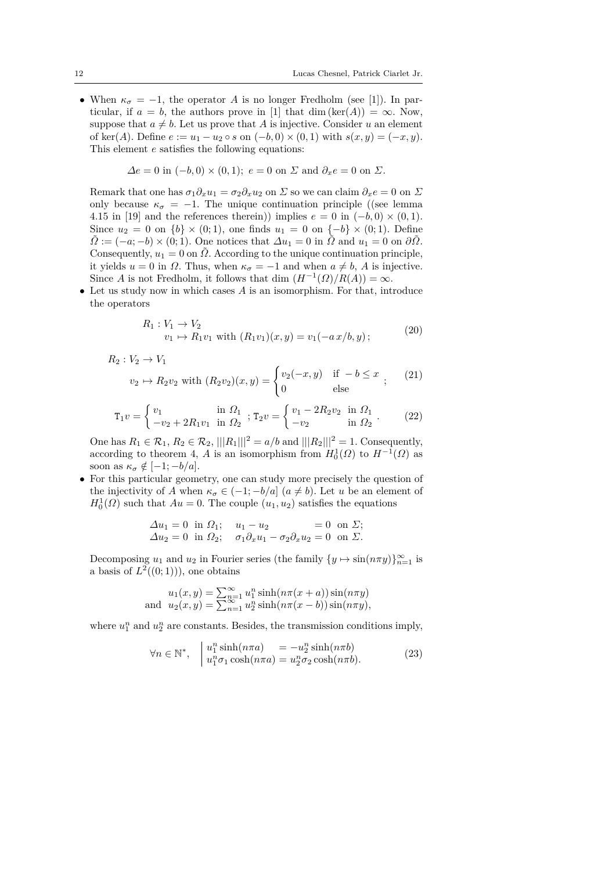• When  $\kappa_{\sigma} = -1$ , the operator *A* is no longer Fredholm (see [1]). In particular, if  $a = b$ , the authors prove in [1] that dim (ker(*A*)) = ∞. Now, suppose that  $a \neq b$ . Let us prove that *A* is injective. Consider *u* an element of ker(*A*). Define  $e := u_1 - u_2 \circ s$  on  $(-b, 0) \times (0, 1)$  with  $s(x, y) = (-x, y)$ . This element *e* satisfies the following equations:

$$
\Delta e = 0 \text{ in } (-b,0) \times (0,1); e = 0 \text{ on } \Sigma \text{ and } \partial_x e = 0 \text{ on } \Sigma.
$$

Remark that one has  $\sigma_1 \partial_x u_1 = \sigma_2 \partial_x u_2$  on  $\Sigma$  so we can claim  $\partial_x e = 0$  on  $\Sigma$ only because  $\kappa_{\sigma} = -1$ . The unique continuation principle ((see lemma) 4.15 in [19] and the references therein)) implies  $e = 0$  in  $(-b, 0) \times (0, 1)$ . Since  $u_2 = 0$  on  $\{b\} \times (0,1)$ , one finds  $u_1 = 0$  on  $\{-b\} \times (0,1)$ . Define  $\Omega := (-a, -b) \times (0, 1)$ . One notices that  $\Delta u_1 = 0$  in  $\Omega$  and  $u_1 = 0$  on  $\partial \Omega$ . Consequently,  $u_1 = 0$  on  $\tilde{\Omega}$ . According to the unique continuation principle, it yields  $u = 0$  in  $\Omega$ . Thus, when  $\kappa_{\sigma} = -1$  and when  $a \neq b$ , *A* is injective. Since *A* is not Fredholm, it follows that dim  $(H^{-1}(\Omega)/R(A)) = \infty$ .

• Let us study now in which cases *A* is an isomorphism. For that, introduce the operators

$$
R_1: V_1 \to V_2
$$
  
\n
$$
v_1 \mapsto R_1 v_1 \text{ with } (R_1 v_1)(x, y) = v_1(-a x/b, y);
$$
\n(20)

$$
R_2: V_2 \to V_1
$$
  
  $v_2 \to R_2 v_2$  with  $(R_2 v_2)(x, y) =\begin{cases} v_2(-x, y) & \text{if } -b \le x \\ 0 & \text{else} \end{cases}$ ; (21)

$$
\mathbf{T}_1 v = \begin{cases} v_1 & \text{in } \Omega_1 \\ -v_2 + 2R_1 v_1 & \text{in } \Omega_2 \end{cases}; \ \mathbf{T}_2 v = \begin{cases} v_1 - 2R_2 v_2 & \text{in } \Omega_1 \\ -v_2 & \text{in } \Omega_2 \end{cases} . \tag{22}
$$

One has  $R_1$  ∈  $R_1$ ,  $R_2$  ∈  $R_2$ , ||| $R_1$ |||<sup>2</sup> = *a*/*b* and ||| $R_2$ |||<sup>2</sup> = 1. Consequently, according to theorem 4, *A* is an isomorphism from  $H_0^1(\Omega)$  to  $H^{-1}(\Omega)$  as soon as  $\kappa_{\sigma} \notin [-1; -b/a].$ 

• For this particular geometry, one can study more precisely the question of the injectivity of *A* when  $\kappa_{\sigma} \in (-1, -b/a]$  ( $a \neq b$ ). Let *u* be an element of  $H_0^1(\Omega)$  such that  $Au = 0$ . The couple  $(u_1, u_2)$  satisfies the equations

$$
\begin{aligned}\n\Delta u_1 &= 0 \text{ in } \Omega_1; \quad u_1 - u_2 = 0 \text{ on } \Sigma; \\
\Delta u_2 &= 0 \text{ in } \Omega_2; \quad \sigma_1 \partial_x u_1 - \sigma_2 \partial_x u_2 = 0 \text{ on } \Sigma.\n\end{aligned}
$$

Decomposing  $u_1$  and  $u_2$  in Fourier series (the family  $\{y \mapsto \sin(n\pi y)\}_{n=1}^{\infty}$  is a basis of  $L^2((0,1))$ , one obtains

$$
u_1(x, y) = \sum_{n=1}^{\infty} u_1^n \sinh(n\pi(x+a)) \sin(n\pi y)
$$
  
and 
$$
u_2(x, y) = \sum_{n=1}^{\infty} u_2^n \sinh(n\pi(x-b)) \sin(n\pi y),
$$

where  $u_1^n$  and  $u_2^n$  are constants. Besides, the transmission conditions imply,

$$
\forall n \in \mathbb{N}^*, \quad \begin{array}{l} u_1^n \sinh(n\pi a) = -u_2^n \sinh(n\pi b) \\ u_1^n \sigma_1 \cosh(n\pi a) = u_2^n \sigma_2 \cosh(n\pi b). \end{array} \tag{23}
$$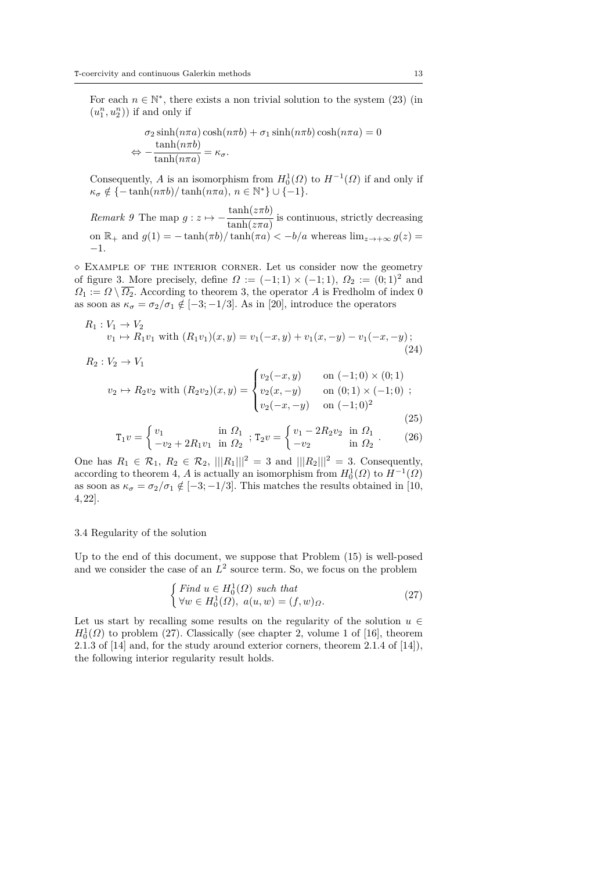For each  $n \in \mathbb{N}^*$ , there exists a non trivial solution to the system (23) (in  $\left( u_{1}^{n},u_{2}^{n}\right) )$  if and only if

$$
\sigma_2 \sinh(n\pi a) \cosh(n\pi b) + \sigma_1 \sinh(n\pi b) \cosh(n\pi a) = 0
$$
  

$$
\Leftrightarrow -\frac{\tanh(n\pi b)}{\tanh(n\pi a)} = \kappa_\sigma.
$$

Consequently, *A* is an isomorphism from  $H_0^1(\Omega)$  to  $H^{-1}(\Omega)$  if and only if  $\kappa_{\sigma} \notin \{-\tanh(n\pi b)/\tanh(n\pi a), n \in \mathbb{N}^*\} \cup \{-1\}.$ 

*Remark 9* The map  $g: z \mapsto -\frac{\tanh(z\pi b)}{1-\frac{1}{z}}$  $\frac{\text{time}(m\bar{m})}{\text{tanh}(z\pi a)}$  is continuous, strictly decreasing on  $\mathbb{R}_+$  and  $g(1) = -\tanh(\pi b)/\tanh(\pi a) < -b/a$  whereas  $\lim_{z\to+\infty} g(z) =$ −1.

 $\Diamond$  EXAMPLE OF THE INTERIOR CORNER. Let us consider now the geometry of figure 3. More precisely, define  $\Omega := (-1,1) \times (-1,1)$ ,  $\Omega_2 := (0,1)^2$  and  $\Omega_1 := \Omega \setminus \overline{\Omega_2}$ . According to theorem 3, the operator *A* is Fredholm of index 0 as soon as  $\kappa_{\sigma} = \sigma_2/\sigma_1 \notin [-3; -1/3]$ . As in [20], introduce the operators

$$
R_1: V_1 \to V_2
$$
  
\n
$$
v_1 \to R_1 v_1 \text{ with } (R_1 v_1)(x, y) = v_1(-x, y) + v_1(x, -y) - v_1(-x, -y);
$$
  
\n
$$
R_2: V_2 \to V_1
$$
\n(24)

$$
v_2 \mapsto R_2 v_2 \text{ with } (R_2 v_2)(x, y) = \begin{cases} v_2(-x, y) & \text{on } (-1, 0) \times (0, 1) \\ v_2(x, -y) & \text{on } (0, 1) \times (-1, 0) \\ v_2(-x, -y) & \text{on } (-1, 0)^2 \end{cases}
$$
(25)

$$
(25
$$

$$
\mathbf{T}_1 v = \begin{cases} v_1 & \text{in } \Omega_1 \\ -v_2 + 2R_1 v_1 & \text{in } \Omega_2 \end{cases}; \, \mathbf{T}_2 v = \begin{cases} v_1 - 2R_2 v_2 & \text{in } \Omega_1 \\ -v_2 & \text{in } \Omega_2 \end{cases} . \tag{26}
$$

One has  $R_1 \in \mathcal{R}_1$ ,  $R_2 \in \mathcal{R}_2$ ,  $|||R_1|||^2 = 3$  and  $|||R_2|||^2 = 3$ . Consequently, according to theorem 4, *A* is actually an isomorphism from  $H_0^1(\Omega)$  to  $H^{-1}(\Omega)$ as soon as  $\kappa_{\sigma} = \sigma_2/\sigma_1 \notin [-3, -1/3]$ . This matches the results obtained in [10, 4, 22].

#### 3.4 Regularity of the solution

Up to the end of this document, we suppose that Problem (15) is well-posed and we consider the case of an  $L^2$  source term. So, we focus on the problem

$$
\begin{cases}\n\text{Find } u \in H_0^1(\Omega) \text{ such that} \\
\forall w \in H_0^1(\Omega), \ a(u, w) = (f, w)_\Omega.\n\end{cases} \tag{27}
$$

Let us start by recalling some results on the regularity of the solution  $u \in$  $H_0^1(\Omega)$  to problem (27). Classically (see chapter 2, volume 1 of [16], theorem 2.1.3 of [14] and, for the study around exterior corners, theorem 2.1.4 of [14]), the following interior regularity result holds.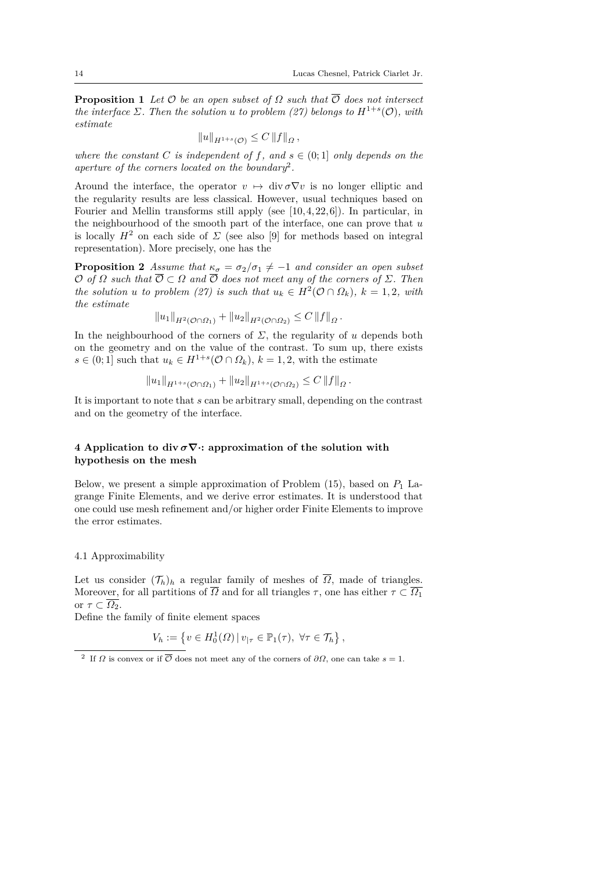**Proposition 1** *Let*  $\mathcal O$  *be an open subset of*  $\Omega$  *such that*  $\overline{\mathcal O}$  *does not intersect the interface*  $\Sigma$ *. Then the solution u to problem* (27) *belongs to*  $H^{1+s}(\mathcal{O})$ *, with estimate*

$$
||u||_{H^{1+s}(\mathcal{O})} \leq C ||f||_{\Omega},
$$

*where the constant C is independent* of *f*, and  $s \in (0, 1]$  *only depends on the aperture of the corners located on the boundary*<sup>2</sup> *.*

Around the interface, the operator  $v \mapsto \text{div }\sigma \nabla v$  is no longer elliptic and the regularity results are less classical. However, usual techniques based on Fourier and Mellin transforms still apply (see  $[10, 4, 22, 6]$ ). In particular, in the neighbourhood of the smooth part of the interface, one can prove that *u* is locally  $H^2$  on each side of  $\Sigma$  (see also [9] for methods based on integral representation). More precisely, one has the

**Proposition 2** *Assume that*  $\kappa_{\sigma} = \sigma_2/\sigma_1 \neq -1$  *and consider an open subset*  $O$  *of*  $\Omega$  *such that*  $\overline{O} \subset \Omega$  *and*  $\overline{O}$  *does not meet any of the corners of*  $\Sigma$ *. Then the solution u to problem* (27) *is such that*  $u_k \in H^2(\mathcal{O} \cap \Omega_k)$ ,  $k = 1, 2$ , with *the estimate*

$$
||u_1||_{H^2(\mathcal{O}\cap\Omega_1)} + ||u_2||_{H^2(\mathcal{O}\cap\Omega_2)} \leq C ||f||_{\Omega}.
$$

In the neighbourhood of the corners of  $\Sigma$ , the regularity of *u* depends both on the geometry and on the value of the contrast. To sum up, there exists  $s \in (0, 1]$  such that  $u_k \in H^{1+s}(\mathcal{O} \cap \Omega_k)$ ,  $k = 1, 2$ , with the estimate

$$
||u_1||_{H^{1+s}(\mathcal{O}\cap\Omega_1)} + ||u_2||_{H^{1+s}(\mathcal{O}\cap\Omega_2)} \leq C ||f||_{\Omega}.
$$

It is important to note that *s* can be arbitrary small, depending on the contrast and on the geometry of the interface.

# **4 Application to div**  $\sigma \nabla \cdot$ **:** approximation of the solution with **hypothesis on the mesh**

Below, we present a simple approximation of Problem (15), based on *P*<sup>1</sup> Lagrange Finite Elements, and we derive error estimates. It is understood that one could use mesh refinement and/or higher order Finite Elements to improve the error estimates.

### 4.1 Approximability

Let us consider  $(\mathcal{T}_h)$ <sub>h</sub> a regular family of meshes of  $\overline{\Omega}$ , made of triangles. Moreover, for all partitions of  $\overline{\Omega}$  and for all triangles  $\tau$ , one has either  $\tau \subset \overline{\Omega_1}$ or  $\tau \subset \overline{\Omega_2}$ .

Define the family of finite element spaces

$$
V_h := \left\{ v \in H_0^1(\Omega) \, | \, v_{|\tau} \in \mathbb{P}_1(\tau), \ \forall \tau \in \mathcal{T}_h \right\},\
$$

<sup>&</sup>lt;sup>2</sup> If *Ω* is convex or if  $\overline{\mathcal{O}}$  does not meet any of the corners of  $\partial\Omega$ , one can take *s* = 1.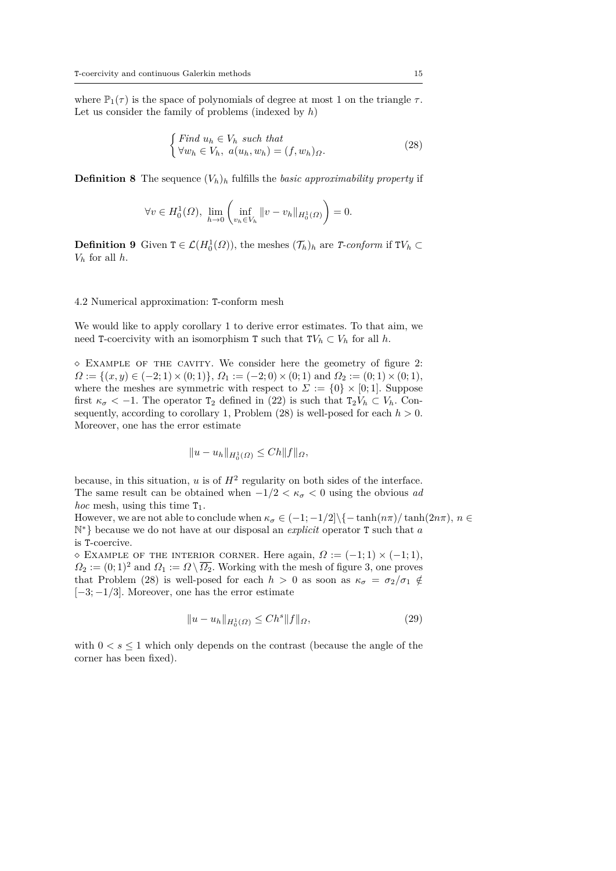where  $\mathbb{P}_1(\tau)$  is the space of polynomials of degree at most 1 on the triangle  $\tau$ . Let us consider the family of problems (indexed by *h*)

$$
\begin{cases} Find \ u_h \in V_h \ such \ that \\ \forall w_h \in V_h, \ a(u_h, w_h) = (f, w_h)_{\Omega}. \end{cases} \tag{28}
$$

**Definition 8** The sequence  $(V_h)_h$  fulfills the *basic approximability property* if

$$
\forall v \in H_0^1(\Omega), \ \lim_{h \to 0} \left( \inf_{v_h \in V_h} \|v - v_h\|_{H_0^1(\Omega)} \right) = 0.
$$

**Definition 9** Given  $T \in \mathcal{L}(H_0^1(\Omega))$ , the meshes  $(\mathcal{T}_h)_h$  are *T-conform* if  $TV_h \subset$  $V_h$  for all  $h$ .

### 4.2 Numerical approximation: T-conform mesh

We would like to apply corollary 1 to derive error estimates. To that aim, we need T-coercivity with an isomorphism T such that  $TV_h \subset V_h$  for all *h*.

 Example of the cavity. We consider here the geometry of figure 2:  $\Omega := \{(x, y) \in (-2, 1) \times (0, 1)\}, \Omega_1 := (-2, 0) \times (0, 1) \text{ and } \Omega_2 := (0, 1) \times (0, 1),$ where the meshes are symmetric with respect to  $\Sigma := \{0\} \times [0, 1]$ . Suppose first  $\kappa_{\sigma}$  < -1. The operator  $T_2$  defined in (22) is such that  $T_2V_h \subset V_h$ . Consequently, according to corollary 1, Problem  $(28)$  is well-posed for each  $h > 0$ . Moreover, one has the error estimate

$$
||u - u_h||_{H_0^1(\Omega)} \le Ch ||f||_{\Omega},
$$

because, in this situation,  $u$  is of  $H^2$  regularity on both sides of the interface. The same result can be obtained when  $-1/2 < \kappa_{\sigma} < 0$  using the obvious *ad hoc* mesh, using this time  $T_1$ .

However, we are not able to conclude when  $\kappa_{\sigma} \in (-1, -1/2] \setminus \{-\tanh(n\pi)/\tanh(2n\pi), n \in$ N <sup>∗</sup>} because we do not have at our disposal an *explicit* operator T such that *a* is T-coercive.

 $\Diamond$  EXAMPLE OF THE INTERIOR CORNER. Here again,  $\Omega := (-1,1) \times (-1,1)$ ,  $\Omega_2 := (0, 1)^2$  and  $\Omega_1 := \Omega \setminus \overline{\Omega_2}$ . Working with the mesh of figure 3, one proves that Problem (28) is well-posed for each  $h > 0$  as soon as  $\kappa_{\sigma} = \sigma_2/\sigma_1 \notin$ [−3; −1*/*3]. Moreover, one has the error estimate

$$
||u - u_h||_{H_0^1(\Omega)} \le Ch^s ||f||_{\Omega},
$$
\n(29)

with  $0 < s \leq 1$  which only depends on the contrast (because the angle of the corner has been fixed).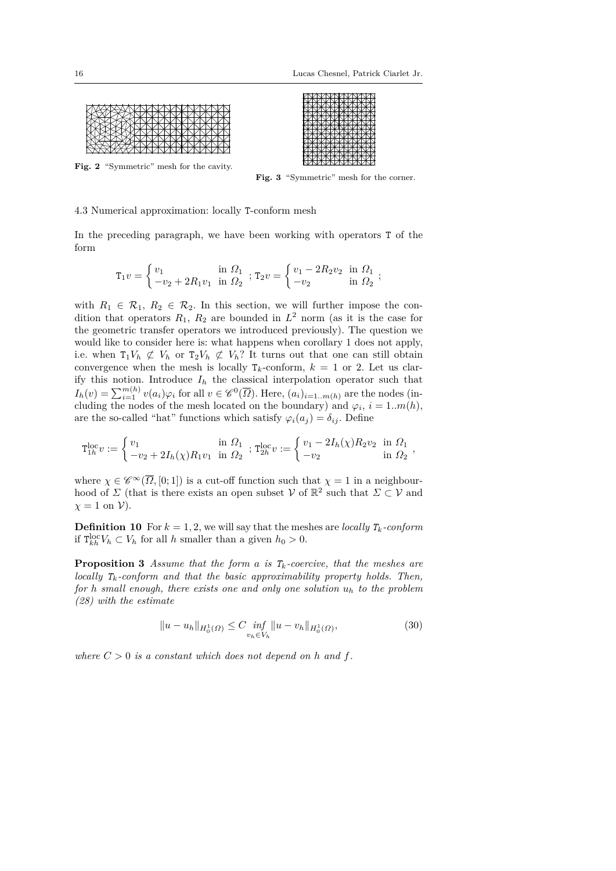

**Fig. 2** "Symmetric" mesh for the cavity.



Fig. 3 "Symmetric" mesh for the corner.

# 4.3 Numerical approximation: locally T-conform mesh

In the preceding paragraph, we have been working with operators T of the form

$$
\mathbf{T}_1 v = \begin{cases} v_1 & \text{in } \Omega_1 \\ -v_2 + 2R_1 v_1 & \text{in } \Omega_2 \end{cases}; \ \mathbf{T}_2 v = \begin{cases} v_1 - 2R_2 v_2 & \text{in } \Omega_1 \\ -v_2 & \text{in } \Omega_2 \end{cases};
$$

with  $R_1 \in \mathcal{R}_1$ ,  $R_2 \in \mathcal{R}_2$ . In this section, we will further impose the condition that operators  $R_1, R_2$  are bounded in  $L^2$  norm (as it is the case for the geometric transfer operators we introduced previously). The question we would like to consider here is: what happens when corollary 1 does not apply, i.e. when  $T_1V_h \not\subset V_h$  or  $T_2V_h \not\subset V_h$ ? It turns out that one can still obtain convergence when the mesh is locally  $T_k$ -conform,  $k = 1$  or 2. Let us clarify this notion. Introduce  $I_h$  the classical interpolation operator such that  $I_h(v) = \sum_{i=1}^{m(h)} v(a_i) \varphi_i$  for all  $v \in \mathscr{C}^0(\overline{\Omega})$ . Here,  $(a_i)_{i=1..m(h)}$  are the nodes (including the nodes of the mesh located on the boundary) and  $\varphi_i$ ,  $i = 1..m(h)$ , are the so-called "hat" functions which satisfy  $\varphi_i(a_i) = \delta_{ij}$ . Define

$$
\mathcal{T}_{1h}^{\text{loc}}v := \begin{cases} v_1 & \text{in } \Omega_1 \\ -v_2 + 2I_h(\chi)R_1v_1 & \text{in } \Omega_2 \end{cases}; \ \mathcal{T}_{2h}^{\text{loc}}v := \begin{cases} v_1 - 2I_h(\chi)R_2v_2 & \text{in } \Omega_1 \\ -v_2 & \text{in } \Omega_2 \end{cases},
$$

where  $\chi \in \mathscr{C}^{\infty}(\overline{\Omega}, [0; 1])$  is a cut-off function such that  $\chi = 1$  in a neighbourhood of  $\Sigma$  (that is there exists an open subset  $\mathcal V$  of  $\mathbb R^2$  such that  $\Sigma \subset \mathcal V$  and  $\chi = 1$  on  $\mathcal{V}$ ).

**Definition 10** For  $k = 1, 2$ , we will say that the meshes are *locally*  $T_k$ *-conform* if  $T_{kh}^{\text{loc}} V_h \subset V_h$  for all *h* smaller than a given  $h_0 > 0$ .

**Proposition 3** *Assume that the form a is*  $T_k$ *-coercive, that the meshes are locally Tk-conform and that the basic approximability property holds. Then, for h small enough, there exists one and only one solution*  $u_h$  *to the problem (28) with the estimate*

$$
||u - u_h||_{H_0^1(\Omega)} \le C \inf_{v_h \in V_h} ||u - v_h||_{H_0^1(\Omega)},
$$
\n(30)

*where*  $C > 0$  *is a constant which does not depend on h and f.*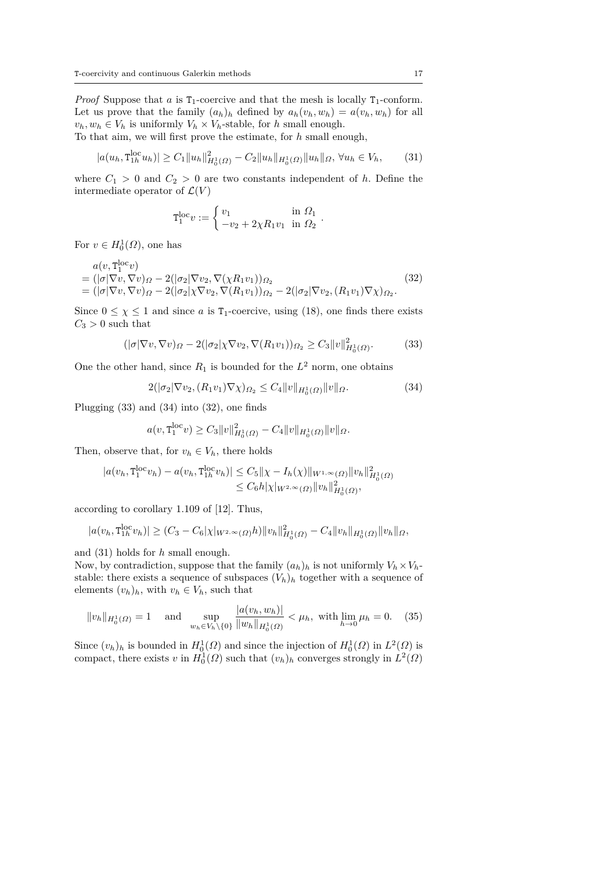*Proof* Suppose that *a* is  $T_1$ -coercive and that the mesh is locally  $T_1$ -conform. Let us prove that the family  $(a_h)_h$  defined by  $a_h(v_h, w_h) = a(v_h, w_h)$  for all  $v_h, w_h \in V_h$  is uniformly  $V_h \times V_h$ -stable, for *h* small enough.

To that aim, we will first prove the estimate, for *h* small enough,

$$
|a(u_h, \mathbf{T}_{1h}^{\text{loc}} u_h)| \ge C_1 \|u_h\|_{H_0^1(\Omega)}^2 - C_2 \|u_h\|_{H_0^1(\Omega)} \|u_h\|_{\Omega}, \forall u_h \in V_h,
$$
 (31)

where  $C_1 > 0$  and  $C_2 > 0$  are two constants independent of *h*. Define the intermediate operator of  $\mathcal{L}(V)$ 

$$
\mathbf{T}_1^{\text{loc}}v := \begin{cases} v_1 & \text{in } \Omega_1 \\ -v_2 + 2\chi R_1 v_1 & \text{in } \Omega_2 \end{cases}
$$

For  $v \in H_0^1(\Omega)$ , one has

$$
a(v, \mathbf{T}_1^{\text{loc}}v)
$$
  
=  $(|\sigma|\nabla v, \nabla v)_{\Omega} - 2(|\sigma_2|\nabla v_2, \nabla(\chi R_1 v_1))_{\Omega_2}$   
=  $(|\sigma|\nabla v, \nabla v)_{\Omega} - 2(|\sigma_2|\chi\nabla v_2, \nabla(R_1 v_1))_{\Omega_2} - 2(|\sigma_2|\nabla v_2, (R_1 v_1)\nabla\chi)_{\Omega_2}.$  (32)

Since  $0 \leq \chi \leq 1$  and since *a* is T<sub>1</sub>-coercive, using (18), one finds there exists  $C_3 > 0$  such that

$$
(|\sigma|\nabla v, \nabla v)_{\Omega} - 2(|\sigma_2|\chi \nabla v_2, \nabla (R_1 v_1))_{\Omega_2} \ge C_3 \|v\|_{H_0^1(\Omega)}^2.
$$
 (33)

One the other hand, since  $R_1$  is bounded for the  $L^2$  norm, one obtains

$$
2(|\sigma_2|\nabla v_2, (R_1v_1)\nabla \chi)_{\Omega_2} \le C_4 \|v\|_{H_0^1(\Omega)} \|v\|_{\Omega}.
$$
\n(34)

*.*

Plugging (33) and (34) into (32), one finds

$$
a(v, \mathbf{T}_1^{\text{loc}} v) \ge C_3 \|v\|_{H_0^1(\Omega)}^2 - C_4 \|v\|_{H_0^1(\Omega)} \|v\|_{\Omega}.
$$

Then, observe that, for  $v_h \in V_h$ , there holds

$$
|a(v_h, \mathbf{T}_1^{\text{loc}} v_h) - a(v_h, \mathbf{T}_{1h}^{\text{loc}} v_h)| \leq C_5 ||\chi - I_h(\chi)||_{W^{1,\infty}(\Omega)} ||v_h||^2_{H_0^1(\Omega)} \leq C_6 h|\chi|_{W^{2,\infty}(\Omega)} ||v_h||^2_{H_0^1(\Omega)},
$$

according to corollary 1.109 of [12]. Thus,

$$
|a(v_h, \mathbf{T}_{1h}^{\text{loc}} v_h)| \ge (C_3 - C_6|\chi|_{W^{2,\infty}(\Omega)} h) \|v_h\|_{H_0^1(\Omega)}^2 - C_4 \|v_h\|_{H_0^1(\Omega)} \|v_h\|_{\Omega},
$$

and (31) holds for *h* small enough.

Now, by contradiction, suppose that the family  $(a_h)_h$  is not uniformly  $V_h \times V_h$ stable: there exists a sequence of subspaces  $(V_h)_h$  together with a sequence of elements  $(v_h)_h$ , with  $v_h \in V_h$ , such that

$$
||v_h||_{H_0^1(\Omega)} = 1 \quad \text{and} \quad \sup_{w_h \in V_h \setminus \{0\}} \frac{|a(v_h, w_h)|}{||w_h||_{H_0^1(\Omega)}} < \mu_h, \text{ with } \lim_{h \to 0} \mu_h = 0. \tag{35}
$$

Since  $(v_h)_h$  is bounded in  $H_0^1(\Omega)$  and since the injection of  $H_0^1(\Omega)$  in  $L^2(\Omega)$  is compact, there exists *v* in  $H_0^1(\Omega)$  such that  $(v_h)_h$  converges strongly in  $L^2(\Omega)$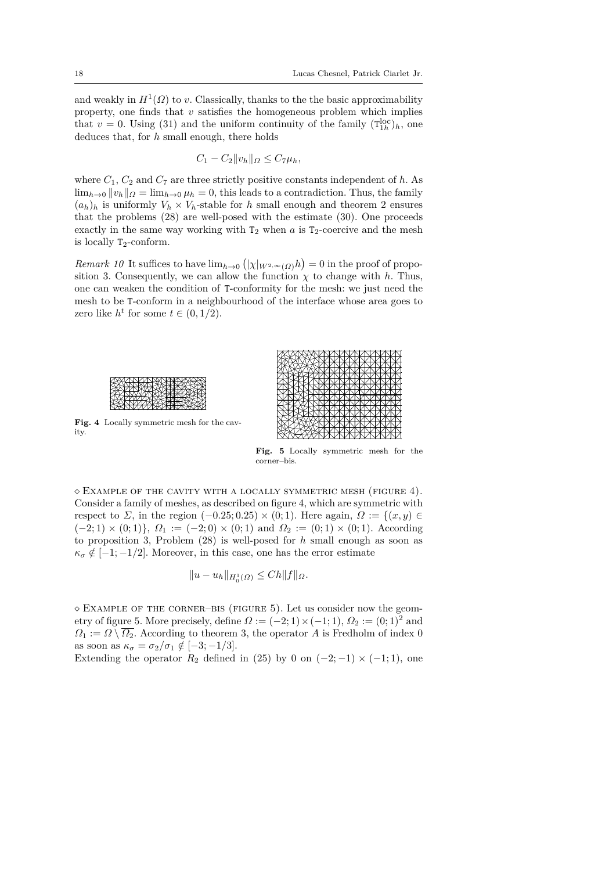and weakly in  $H^1(\Omega)$  to *v*. Classically, thanks to the the basic approximability property, one finds that *v* satisfies the homogeneous problem which implies that  $v = 0$ . Using (31) and the uniform continuity of the family  $(T_{1h}^{loc})_h$ , one deduces that, for *h* small enough, there holds

$$
C_1 - C_2 ||v_h||_{\Omega} \le C_7 \mu_h,
$$

where  $C_1$ ,  $C_2$  and  $C_7$  are three strictly positive constants independent of  $h$ . As  $\lim_{h\to 0} ||v_h||_{\Omega} = \lim_{h\to 0} \mu_h = 0$ , this leads to a contradiction. Thus, the family  $(a_h)_h$  is uniformly  $V_h \times V_h$ -stable for *h* small enough and theorem 2 ensures that the problems (28) are well-posed with the estimate (30). One proceeds exactly in the same way working with  $T_2$  when  $a$  is  $T_2$ -coercive and the mesh is locally  $T_2$ -conform.

*Remark 10* It suffices to have  $\lim_{h\to 0} (|\chi|_{W^{2,\infty}(\Omega)} h) = 0$  in the proof of proposition 3. Consequently, we can allow the function  $\chi$  to change with *h*. Thus, one can weaken the condition of T-conformity for the mesh: we just need the mesh to be T-conform in a neighbourhood of the interface whose area goes to zero like  $h^t$  for some  $t \in (0, 1/2)$ .



**Fig. 4** Locally symmetric mesh for the cavity.



**Fig. 5** Locally symmetric mesh for the corner–bis.

 $\Diamond$  Example of the cavity with a locally symmetric mesh (figure 4). Consider a family of meshes, as described on figure 4, which are symmetric with respect to *Σ*, in the region  $(-0.25; 0.25) \times (0; 1)$ . Here again,  $\Omega := \{(x, y) \in$  $(-2; 1) \times (0; 1)$ ,  $\Omega_1 := (-2; 0) \times (0; 1)$  and  $\Omega_2 := (0; 1) \times (0; 1)$ . According to proposition 3, Problem (28) is well-posed for *h* small enough as soon as  $\kappa_{\sigma} \notin [-1, -1/2]$ . Moreover, in this case, one has the error estimate

$$
||u - u_h||_{H_0^1(\Omega)} \le Ch||f||_{\Omega}.
$$

 $\Diamond$  EXAMPLE OF THE CORNER–BIS (FIGURE 5). Let us consider now the geometry of figure 5. More precisely, define  $\Omega := (-2, 1) \times (-1, 1)$ ,  $\Omega_2 := (0, 1)^2$  and  $\Omega_1 := \Omega \setminus \overline{\Omega_2}$ . According to theorem 3, the operator *A* is Fredholm of index 0 as soon as  $\kappa_{\sigma} = \sigma_2/\sigma_1 \notin [-3, -1/3]$ .

Extending the operator  $R_2$  defined in (25) by 0 on  $(-2, -1) \times (-1, 1)$ , one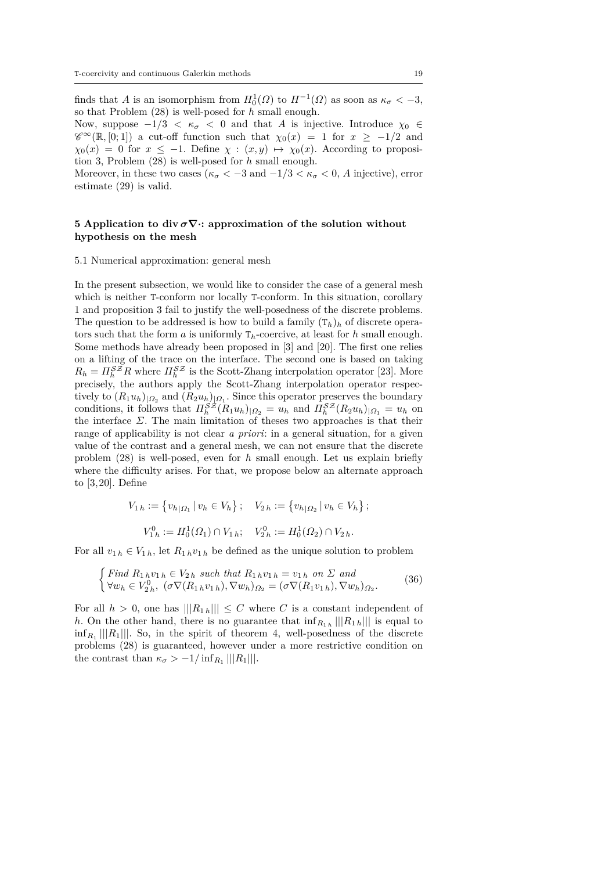finds that *A* is an isomorphism from  $H_0^1(\Omega)$  to  $H^{-1}(\Omega)$  as soon as  $\kappa_{\sigma} < -3$ , so that Problem (28) is well-posed for *h* small enough.

Now, suppose  $-1/3 < \kappa_{\sigma} < 0$  and that *A* is injective. Introduce  $\chi_0 \in$  $\mathscr{C}^{\infty}(\mathbb{R}, [0; 1])$  a cut-off function such that  $\chi_0(x) = 1$  for  $x \ge -1/2$  and  $\chi_0(x) = 0$  for  $x \le -1$ . Define  $\chi : (x, y) \mapsto \chi_0(x)$ . According to proposition 3, Problem (28) is well-posed for *h* small enough.

Moreover, in these two cases ( $\kappa_{\sigma} < -3$  and  $-1/3 < \kappa_{\sigma} < 0$ , *A* injective), error estimate (29) is valid.

# **5 Application to div**  $\sigma \nabla$ **:** approximation of the solution without **hypothesis on the mesh**

#### 5.1 Numerical approximation: general mesh

In the present subsection, we would like to consider the case of a general mesh which is neither T-conform nor locally T-conform. In this situation, corollary 1 and proposition 3 fail to justify the well-posedness of the discrete problems. The question to be addressed is how to build a family  $(T_h)_h$  of discrete operators such that the form  $a$  is uniformly  $T_h$ -coercive, at least for  $h$  small enough. Some methods have already been proposed in [3] and [20]. The first one relies on a lifting of the trace on the interface. The second one is based on taking  $R_h = \prod_h^{SZ} R$  where  $\prod_h^{SZ}$  is the Scott-Zhang interpolation operator [23]. More precisely, the authors apply the Scott-Zhang interpolation operator respectively to  $(R_1u_h)_{|\Omega_2}$  and  $(R_2u_h)_{|\Omega_1}$ . Since this operator preserves the boundary conditions, it follows that  $\Pi_h^{\mathcal{SZ}}(R_1u_h)_{|\Omega_2} = u_h$  and  $\Pi_h^{\mathcal{SZ}}(R_2u_h)_{|\Omega_1} = u_h$  on the interface *Σ*. The main limitation of theses two approaches is that their range of applicability is not clear *a priori*: in a general situation, for a given value of the contrast and a general mesh, we can not ensure that the discrete problem (28) is well-posed, even for *h* small enough. Let us explain briefly where the difficulty arises. For that, we propose below an alternate approach to [3, 20]. Define

$$
V_{1 h} := \{ v_{h | \Omega_1} \mid v_h \in V_h \}; \quad V_{2 h} := \{ v_{h | \Omega_2} \mid v_h \in V_h \};
$$
  

$$
V_{1 h}^{0} := H_0^1(\Omega_1) \cap V_{1 h}; \quad V_{2 h}^{0} := H_0^1(\Omega_2) \cap V_{2 h}.
$$

For all  $v_{1h} \in V_{1h}$ , let  $R_{1h}v_{1h}$  be defined as the unique solution to problem

$$
\begin{cases} \text{Find } R_{1\,h}v_{1\,h} \in V_{2\,h} \text{ such that } R_{1\,h}v_{1\,h} = v_{1\,h} \text{ on } \Sigma \text{ and} \\ \forall w_h \in V_{2\,h}^0, \ (\sigma \nabla (R_{1\,h}v_{1\,h}), \nabla w_h)_{\Omega_2} = (\sigma \nabla (R_{1}v_{1\,h}), \nabla w_h)_{\Omega_2}. \end{cases} \tag{36}
$$

For all  $h > 0$ , one has  $|||R_{1h}||| \leq C$  where *C* is a constant independent of *h*. On the other hand, there is no guarantee that  $\inf_{R_{1h}} ||R_{1h}||$  is equal to  $\inf_{R_1} ||R_1||$ . So, in the spirit of theorem 4, well-posedness of the discrete problems (28) is guaranteed, however under a more restrictive condition on the contrast than  $\kappa_{\sigma} > -1/\inf_{R_1} ||R_1||.$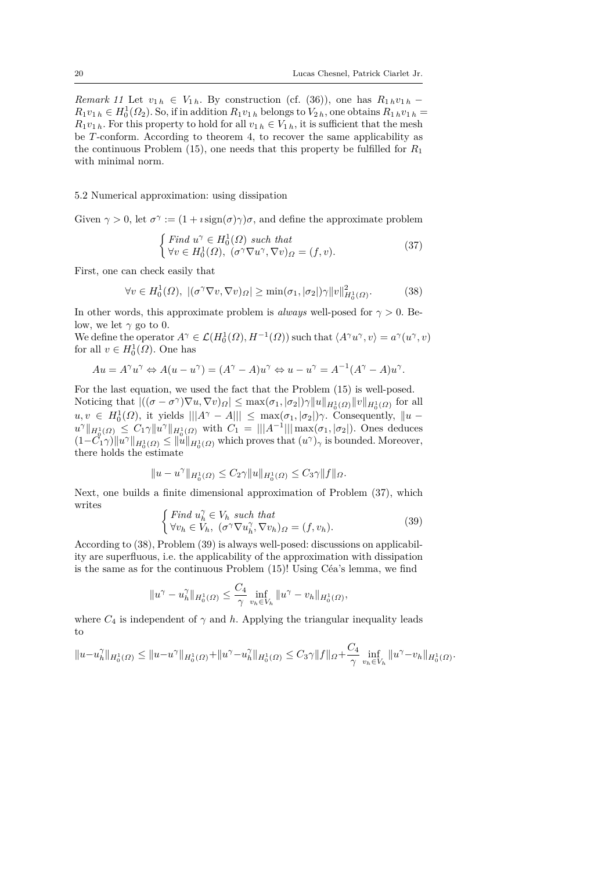*Remark 11* Let  $v_{1h} \in V_{1h}$ . By construction (cf. (36)), one has  $R_{1h}v_{1h}$  −  $R_1v_{1h} \in H_0^1(\Omega_2)$ . So, if in addition  $R_1v_{1h}$  belongs to  $V_{2h}$ , one obtains  $R_1v_{1h} =$  $R_1v_{1h}$ . For this property to hold for all  $v_{1h} \in V_{1h}$ , it is sufficient that the mesh be *T*-conform. According to theorem 4, to recover the same applicability as the continuous Problem (15), one needs that this property be fulfilled for *R*<sup>1</sup> with minimal norm.

# 5.2 Numerical approximation: using dissipation

Given  $\gamma > 0$ , let  $\sigma^{\gamma} := (1 + i \operatorname{sign}(\sigma) \gamma) \sigma$ , and define the approximate problem

$$
\begin{cases} Find \ u^{\gamma} \in H_0^1(\Omega) \ such \ that \\ \forall v \in H_0^1(\Omega), \ (\sigma^{\gamma} \nabla u^{\gamma}, \nabla v)_{\Omega} = (f, v). \end{cases} \tag{37}
$$

First, one can check easily that

$$
\forall v \in H_0^1(\Omega), \ |(\sigma^\gamma \nabla v, \nabla v)_\Omega| \ge \min(\sigma_1, |\sigma_2|) \gamma \|v\|_{H_0^1(\Omega)}^2. \tag{38}
$$

In other words, this approximate problem is *always* well-posed for  $\gamma > 0$ . Below, we let  $\gamma$  go to 0.

We define the operator  $A^{\gamma} \in \mathcal{L}(H_0^1(\Omega), H^{-1}(\Omega))$  such that  $\langle A^{\gamma}u^{\gamma}, v \rangle = a^{\gamma}(u^{\gamma}, v)$ for all  $v \in H_0^1(\Omega)$ . One has

$$
Au = A^{\gamma}u^{\gamma} \Leftrightarrow A(u - u^{\gamma}) = (A^{\gamma} - A)u^{\gamma} \Leftrightarrow u - u^{\gamma} = A^{-1}(A^{\gamma} - A)u^{\gamma}.
$$

For the last equation, we used the fact that the Problem (15) is well-posed. Noticing that  $|((\sigma - \sigma^{\gamma})\nabla u, \nabla v)_{\Omega}| \leq \max(\sigma_1, |\sigma_2|)\gamma ||u||_{H_0^1(\Omega)} ||v||_{H_0^1(\Omega)}$  for all  $u, v \in H_0^1(\Omega)$ , it yields  $|||A^{\gamma} - A||| \le \max(\sigma_1, |\sigma_2|) \gamma$ . Consequently,  $||u$  $u^{\gamma} \|_{H_0^1(\Omega)} \leq C_1 \gamma \| u^{\gamma} \|_{H_0^1(\Omega)}$  with  $C_1 = ||| A^{-1} ||| \max(\sigma_1, |\sigma_2|)$ . Ones deduces  $(1-C_1^{\gamma}\gamma)\|u^{\gamma}\|_{H_0^1(\Omega)} \leq \|u\|_{H_0^1(\Omega)}$  which proves that  $(u^{\gamma})_{\gamma}$  is bounded. Moreover, there holds the estimate

$$
||u - u^{\gamma}||_{H_0^1(\Omega)} \le C_2 \gamma ||u||_{H_0^1(\Omega)} \le C_3 \gamma ||f||_{\Omega}.
$$

Next, one builds a finite dimensional approximation of Problem (37), which writes  $\epsilon$   $\sim$ *γ*

$$
\begin{cases} \n\text{Find } u_h^{\gamma} \in V_h \text{ such that} \\ \forall v_h \in V_h, \ (\sigma^{\gamma} \nabla u_h^{\gamma}, \nabla v_h)_{\Omega} = (f, v_h). \end{cases} \tag{39}
$$

According to (38), Problem (39) is always well-posed: discussions on applicability are superfluous, i.e. the applicability of the approximation with dissipation is the same as for the continuous Problem (15)! Using Céa's lemma, we find

$$
||u^{\gamma} - u_h^{\gamma}||_{H_0^1(\Omega)} \le \frac{C_4}{\gamma} \inf_{v_h \in V_h} ||u^{\gamma} - v_h||_{H_0^1(\Omega)},
$$

where  $C_4$  is independent of  $\gamma$  and  $h$ . Applying the triangular inequality leads to

$$
||u-u_h^{\gamma}||_{H_0^1(\Omega)} \le ||u-u^{\gamma}||_{H_0^1(\Omega)} + ||u^{\gamma}-u_h^{\gamma}||_{H_0^1(\Omega)} \le C_3\gamma||f||_{\Omega} + \frac{C_4}{\gamma}\inf_{v_h\in V_h}||u^{\gamma}-v_h||_{H_0^1(\Omega)}.
$$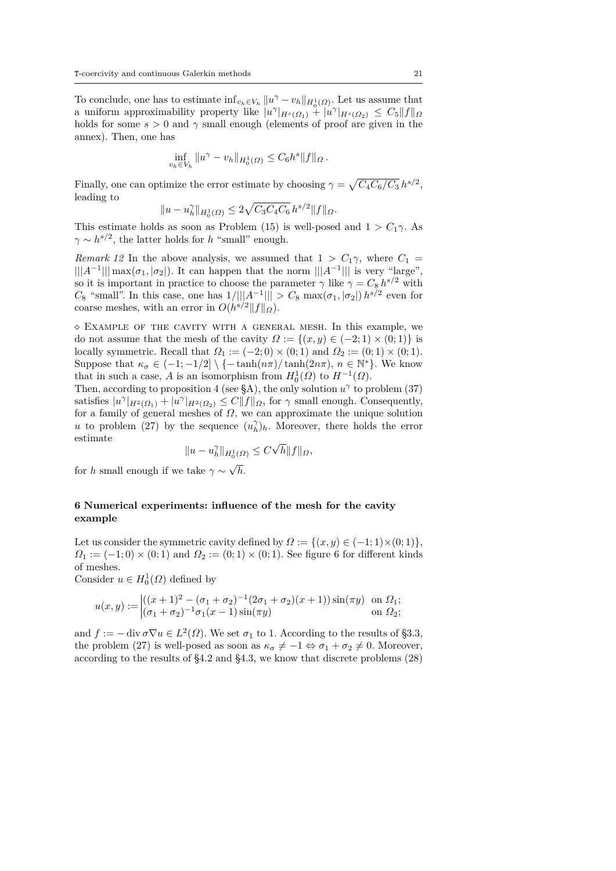To conclude, one has to estimate  $\inf_{v_h \in V_h} ||u^\gamma - v_h||_{H_0^1(\Omega)}$ . Let us assume that a uniform approximability property like  $|u^{\gamma}|_{H^{s}(\Omega_1)} + |u^{\gamma}|_{H^{s}(\Omega_2)} \leq C_5||f||_{\Omega_2}$ holds for some  $s > 0$  and  $\gamma$  small enough (elements of proof are given in the annex). Then, one has

$$
\inf_{v_h \in V_h} \|u^{\gamma} - v_h\|_{H_0^1(\Omega)} \leq C_6 h^s \|f\|_{\Omega}.
$$

Finally, one can optimize the error estimate by choosing  $\gamma = \sqrt{C_4C_6/C_3} h^{s/2}$ , leading to

$$
||u - u_h^{\gamma}||_{H_0^1(\Omega)} \le 2\sqrt{C_3 C_4 C_6} h^{s/2} ||f||_{\Omega}.
$$

This estimate holds as soon as Problem (15) is well-posed and  $1 > C_1 \gamma$ . As  $\gamma \sim h^{s/2}$ , the latter holds for *h* "small" enough.

*Remark 12* In the above analysis, we assumed that  $1 > C_1 \gamma$ , where  $C_1$  =  $\| |A^{-1}|| \max(\sigma_1, |\sigma_2|)$ . It can happen that the norm  $\| |A^{-1}|| |$  is very "large", so it is important in practice to choose the parameter  $\gamma$  like  $\gamma = C_8 h^{s/2}$  with *C*<sub>8</sub> "small". In this case, one has  $1/|||A^{-1}||| > C_8$  max(*σ*<sub>1</sub>*,*|*σ*<sub>2</sub>|) *h*<sup>*s*/2</sup> even for coarse meshes, with an error in  $O(h^{s/2}||f||_{\Omega})$ .

 $\Diamond$  EXAMPLE OF THE CAVITY WITH A GENERAL MESH. In this example, we do not assume that the mesh of the cavity  $\Omega := \{(x, y) \in (-2, 1) \times (0, 1)\}\$ is locally symmetric. Recall that  $\Omega_1 := (-2,0) \times (0,1)$  and  $\Omega_2 := (0,1) \times (0,1)$ . Suppose that  $\kappa_{\sigma} \in (-1, -1/2] \setminus \{-\tanh(n\pi)/\tanh(2n\pi), n \in \mathbb{N}^*\}.$  We know that in such a case, *A* is an isomorphism from  $H_0^1(\Omega)$  to  $H^{-1}(\Omega)$ .

Then, according to proposition 4 (see §A), the only solution  $u^{\gamma}$  to problem (37) satisfies  $|u^{\gamma}|_{H^2(\Omega_1)} + |u^{\gamma}|_{H^2(\Omega_2)} \leq C||f||_{\Omega}$ , for  $\gamma$  small enough. Consequently, for a family of general meshes of  $\Omega$ , we can approximate the unique solution *u* to problem (27) by the sequence  $(u_h^{\gamma})_h$ . Moreover, there holds the error estimate √

$$
||u - u_h^{\gamma}||_{H_0^1(\Omega)} \le C\sqrt{h}||f||_{\Omega},
$$

for *h* small enough if we take  $\gamma \sim$ √ *h*.

# **6 Numerical experiments: influence of the mesh for the cavity example**

Let us consider the symmetric cavity defined by  $\Omega := \{(x, y) \in (-1, 1) \times (0, 1)\},\$  $\Omega_1 := (-1,0) \times (0,1)$  and  $\Omega_2 := (0,1) \times (0,1)$ . See figure 6 for different kinds of meshes.

Consider  $u \in H_0^1(\Omega)$  defined by

$$
u(x,y) := \begin{cases} ((x+1)^2 - (\sigma_1 + \sigma_2)^{-1}(2\sigma_1 + \sigma_2)(x+1))\sin(\pi y) & \text{on } \Omega_1; \\ (\sigma_1 + \sigma_2)^{-1}\sigma_1(x-1)\sin(\pi y) & \text{on } \Omega_2; \end{cases}
$$

and  $f := -\operatorname{div} \sigma \nabla u \in L^2(\Omega)$ . We set  $\sigma_1$  to 1. According to the results of §3.3, the problem (27) is well-posed as soon as  $\kappa_{\sigma} \neq -1 \Leftrightarrow \sigma_1 + \sigma_2 \neq 0$ . Moreover, according to the results of §4.2 and §4.3, we know that discrete problems (28)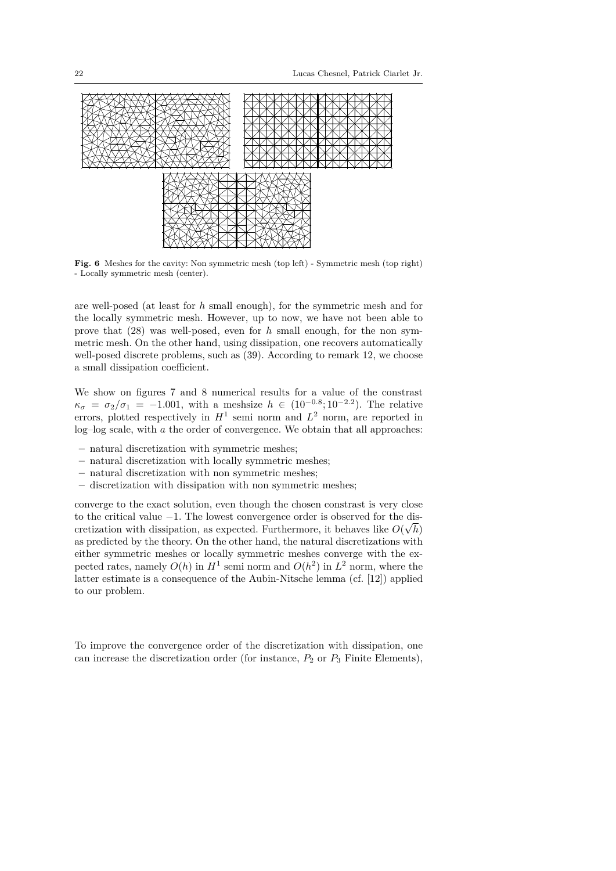

**Fig. 6** Meshes for the cavity: Non symmetric mesh (top left) - Symmetric mesh (top right) - Locally symmetric mesh (center).

are well-posed (at least for *h* small enough), for the symmetric mesh and for the locally symmetric mesh. However, up to now, we have not been able to prove that (28) was well-posed, even for *h* small enough, for the non symmetric mesh. On the other hand, using dissipation, one recovers automatically well-posed discrete problems, such as  $(39)$ . According to remark 12, we choose a small dissipation coefficient.

We show on figures 7 and 8 numerical results for a value of the constrast  $\kappa_{\sigma} = \sigma_2/\sigma_1 = -1.001$ , with a meshsize  $h \in (10^{-0.8}; 10^{-2.2})$ . The relative errors, plotted respectively in  $H^1$  semi norm and  $L^2$  norm, are reported in log–log scale, with *a* the order of convergence. We obtain that all approaches:

- **–** natural discretization with symmetric meshes;
- **–** natural discretization with locally symmetric meshes;
- **–** natural discretization with non symmetric meshes;
- **–** discretization with dissipation with non symmetric meshes;

converge to the exact solution, even though the chosen constrast is very close to the critical value  $-1$ . The lowest convergence order is observed for the discretization with dissipation, as expected. Furthermore, it behaves like  $O(\sqrt{h})$ as predicted by the theory. On the other hand, the natural discretizations with either symmetric meshes or locally symmetric meshes converge with the expected rates, namely  $O(h)$  in  $H^1$  semi norm and  $O(h^2)$  in  $L^2$  norm, where the latter estimate is a consequence of the Aubin-Nitsche lemma (cf. [12]) applied to our problem.

To improve the convergence order of the discretization with dissipation, one can increase the discretization order (for instance,  $P_2$  or  $P_3$  Finite Elements),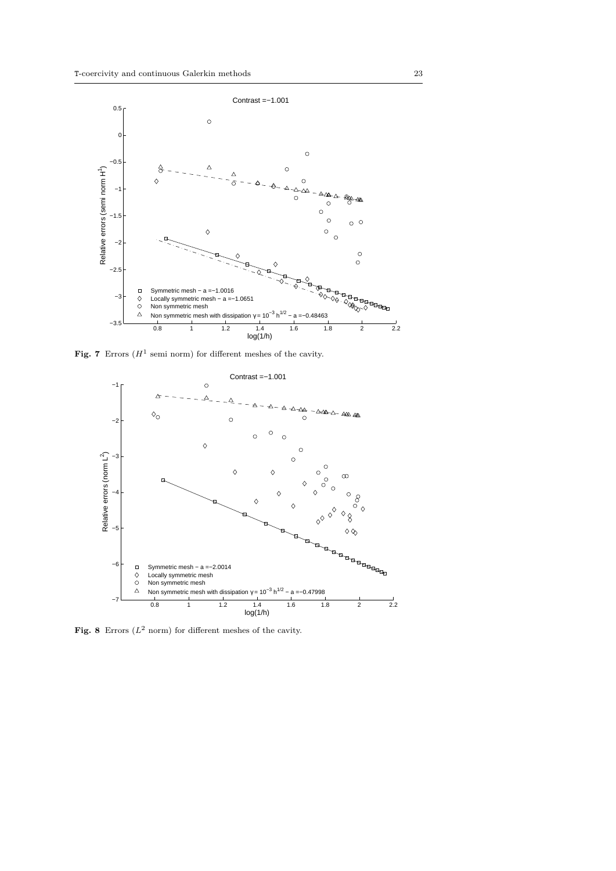

**Fig. 7** Errors  $(H^1)$  semi norm) for different meshes of the cavity.



**Fig. 8** Errors  $(L^2 \text{ norm})$  for different meshes of the cavity.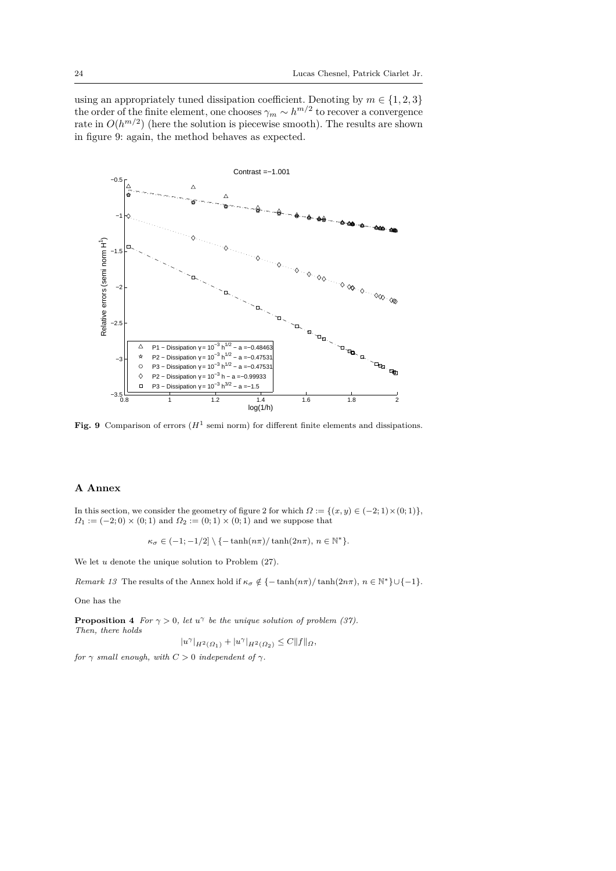using an appropriately tuned dissipation coefficient. Denoting by  $m \in \{1, 2, 3\}$ the order of the finite element, one chooses  $\gamma_m \sim h^{m/2}$  to recover a convergence rate in  $O(h^{m/2})$  (here the solution is piecewise smooth). The results are shown in figure 9: again, the method behaves as expected.



**Fig. 9** Comparison of errors  $(H^1 \text{ semi norm})$  for different finite elements and dissipations.

## **A Annex**

In this section, we consider the geometry of figure 2 for which  $\Omega := \{(x, y) \in (-2, 1) \times (0, 1)\},\$  $Q_1 := (-2,0) \times (0,1)$  and  $Q_2 := (0,1) \times (0,1)$  and we suppose that

$$
\kappa_{\sigma} \in (-1; -1/2] \setminus \{-\tanh(n\pi)/\tanh(2n\pi), n \in \mathbb{N}^*\}.
$$

We let *u* denote the unique solution to Problem  $(27)$ .

*Remark 13* The results of the Annex hold if  $\kappa_{\sigma} \notin \{-\tanh(n\pi)/\tanh(2n\pi), n \in \mathbb{N}^*\} \cup \{-1\}.$ 

One has the

**Proposition 4** *For*  $\gamma > 0$ *, let*  $u^{\gamma}$  *be the unique solution of problem (37). Then, there holds*

$$
|u^{\gamma}|_{H^2(\Omega_1)} + |u^{\gamma}|_{H^2(\Omega_2)} \leq C||f||_{\Omega},
$$

*for*  $\gamma$  *small enough, with*  $C > 0$  *independent of*  $\gamma$ *.*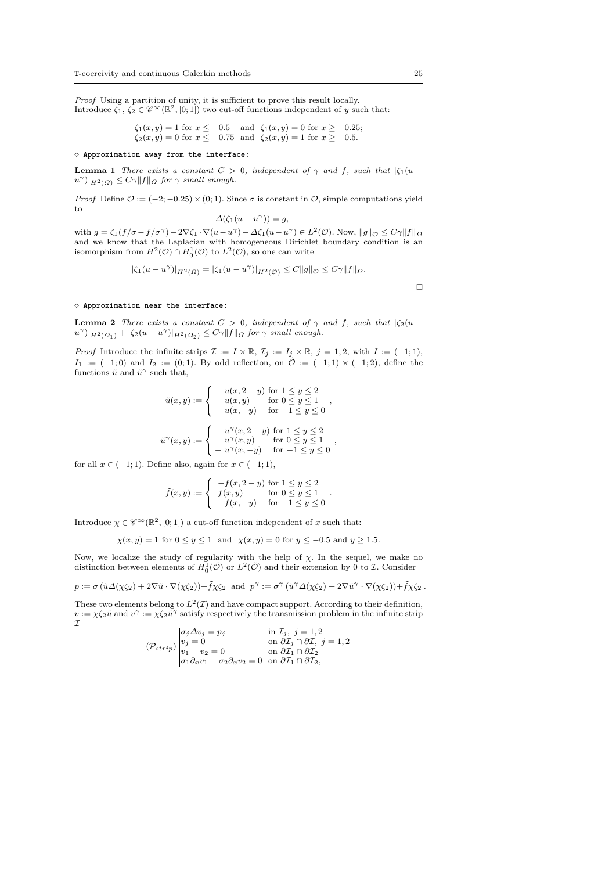*Proof* Using a partition of unity, it is sufficient to prove this result locally. Introduce  $\zeta_1, \zeta_2 \in \mathscr{C}^\infty(\mathbb{R}^2, [0, 1])$  two cut-off functions independent of *y* such that:

> $\zeta_1(x, y) = 1$  for  $x \le -0.5$  and  $\zeta_1(x, y) = 0$  for  $x \ge -0.25$ ;  $\zeta_2(x, y) = 0$  for  $x \le -0.75$  and  $\zeta_2(x, y) = 1$  for  $x \ge -0.5$ *.*

#### $\diamond$  Approximation away from the interface:

**Lemma 1** *There exists a constant*  $C > 0$ *, independent of*  $\gamma$  *and*  $f$ *, such that*  $|\zeta_1(u$  $u^{\gamma}$ ) $|_{H^2(\Omega)} \leq C\gamma$  $||f||_{\Omega}$  *for*  $\gamma$  *small enough.* 

*Proof* Define  $\mathcal{O} := (-2, -0.25) \times (0, 1)$ . Since  $\sigma$  is constant in  $\mathcal{O}$ , simple computations yield to

$$
-\Delta(\zeta_1(u - u^{\gamma})) = g,
$$

with  $g = \zeta_1(f/\sigma - f/\sigma^{\gamma}) - 2\nabla \zeta_1 \cdot \nabla (u - u^{\gamma}) - \Delta \zeta_1(u - u^{\gamma}) \in L^2(\mathcal{O})$ . Now,  $||g||_{\mathcal{O}} \leq C\gamma ||f||_{\Omega}$ and we know that the Laplacian with homogeneous Dirichlet boundary condition is an isomorphism from  $H^2(\mathcal{O}) \cap H_0^1(\mathcal{O})$  to  $L^2(\mathcal{O})$ , so one can write

$$
|\zeta_1(u - u^\gamma)|_{H^2(\Omega)} = |\zeta_1(u - u^\gamma)|_{H^2(\mathcal{O})} \leq C ||g||_{\mathcal{O}} \leq C\gamma ||f||_{\Omega}.
$$

 $\diamond$  Approximation near the interface:

**Lemma 2** *There exists a constant*  $C > 0$ *, independent of*  $\gamma$  *and*  $f$ *, such that*  $|\zeta_2(u$  $u^{\gamma}$ )| $_{H^2(\Omega_1)}$  + | $\zeta_2(u - u^{\gamma})|_{H^2(\Omega_2)} \leq C\gamma$ || $f$ || $\Omega$  *for*  $\gamma$  *small enough.* 

*Proof* Introduce the infinite strips  $\mathcal{I} := I \times \mathbb{R}$ ,  $\mathcal{I}_j := I_j \times \mathbb{R}$ ,  $j = 1, 2$ , with  $I := (-1, 1)$ , *I*<sub>1</sub> := (−1; 0) and *I*<sub>2</sub> := (0; 1). By odd reflection, on  $\tilde{\mathcal{O}}$  := (−1; 1) × (−1; 2), define the functions  $\tilde{u}$  and  $\tilde{u}^{\gamma}$  such that,

$$
\tilde{u}(x, y) := \begin{cases}\n-u(x, 2 - y) \text{ for } 1 \le y \le 2 \\
u(x, y) \text{ for } 0 \le y \le 1 \\
-u(x, -y) \text{ for } -1 \le y \le 0\n\end{cases},
$$
\n
$$
\tilde{u}^{\gamma}(x, y) := \begin{cases}\n-u^{\gamma}(x, 2 - y) \text{ for } 1 \le y \le 2 \\
u^{\gamma}(x, y) \text{ for } 0 \le y \le 1 \\
-u^{\gamma}(x, -y) \text{ for } -1 \le y \le 0\n\end{cases},
$$

for all  $x \in (-1, 1)$ . Define also, again for  $x \in (-1, 1)$ ,

$$
\tilde{f}(x, y) := \begin{cases}\n-f(x, 2 - y) \text{ for } 1 \le y \le 2 \\
f(x, y) \text{ for } 0 \le y \le 1 \\
-f(x, -y) \text{ for } -1 \le y \le 0\n\end{cases}.
$$

Introduce  $\chi \in \mathscr{C}^{\infty}(\mathbb{R}^2, [0, 1])$  a cut-off function independent of *x* such that:

 $\chi(x, y) = 1$  for  $0 \le y \le 1$  and  $\chi(x, y) = 0$  for  $y \le -0.5$  and  $y \ge 1.5$ *.* 

Now, we localize the study of regularity with the help of *χ*. In the sequel, we make no distinction between elements of  $H_0^1(\tilde{\mathcal{O}})$  or  $L^2(\tilde{\mathcal{O}})$  and their extension by 0 to *I*. Consider

$$
p := \sigma \left( \tilde{u} \Delta(\chi \zeta_2) + 2 \nabla \tilde{u} \cdot \nabla(\chi \zeta_2) \right) + \tilde{f} \chi \zeta_2 \text{ and } p^{\gamma} := \sigma^{\gamma} \left( \tilde{u}^{\gamma} \Delta(\chi \zeta_2) + 2 \nabla \tilde{u}^{\gamma} \cdot \nabla(\chi \zeta_2) \right) + \tilde{f} \chi \zeta_2.
$$

These two elements belong to  $L^2(\mathcal{I})$  and have compact support. According to their definition,  $v := \chi \zeta_2 \tilde{u}$  and  $v^\gamma := \chi \zeta_2 \tilde{u}^\gamma$  satisfy respectively the transmission problem in the infinite strip  ${\mathcal I}$ 

$$
(\mathcal{P}_{strip})\begin{vmatrix} \sigma_j \Delta v_j = p_j & \text{in } \mathcal{I}_j, \ j = 1, 2 \\ v_j = 0 & \text{on } \partial \mathcal{I}_j \cap \partial \mathcal{I}, \ j = 1, 2 \\ v_1 - v_2 = 0 & \text{on } \partial \mathcal{I}_1 \cap \partial \mathcal{I}_2 \\ \sigma_1 \partial_x v_1 - \sigma_2 \partial_x v_2 = 0 & \text{on } \partial \mathcal{I}_1 \cap \partial \mathcal{I}_2, \end{vmatrix}
$$

 $\Box$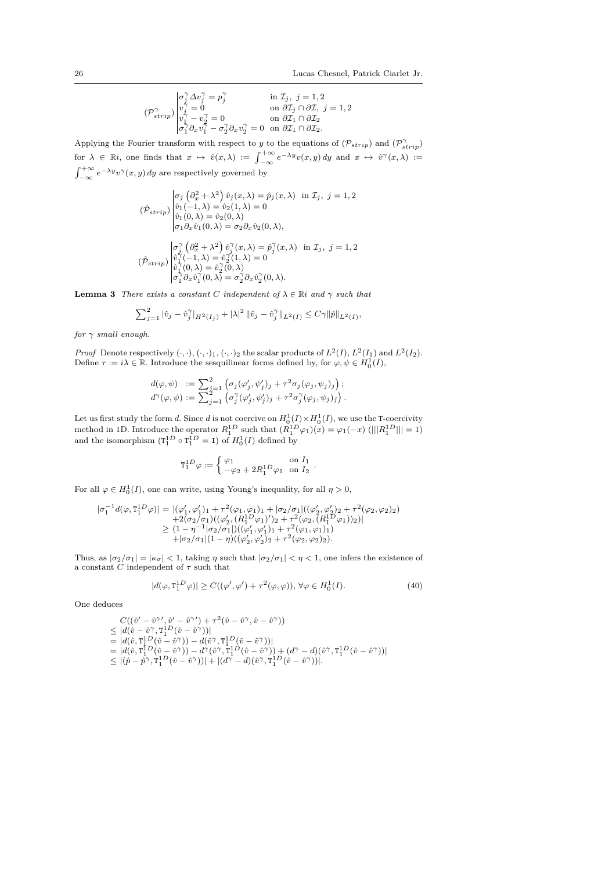*.*

$$
(\mathcal{P}_{strip}^{\gamma})\begin{vmatrix} \sigma_j^{\gamma}\Delta v_j^{\gamma}=p_j^{\gamma} & \text{in }\mathcal{I}_j,\ j=1,2\\ v_j^{\gamma}=0 & \text{on }\partial\mathcal{I}_j\cap\partial\mathcal{I},\ j=1,2\\ v_1^{\gamma}-v_2^{\gamma}=0 & \text{on }\partial\mathcal{I}_1\cap\partial\mathcal{I}_2\\ \sigma_1^{\gamma}\partial_x v_1^{\gamma}-\sigma_2^{\gamma}\partial_x v_2^{\gamma}=0 & \text{on }\partial\mathcal{I}_1\cap\partial\mathcal{I}_2. \end{vmatrix}
$$

Applying the Fourier transform with respect to *y* to the equations of  $(\mathcal{P}_{strip})$  and  $(\mathcal{P}_{strip}^{\gamma})$  $\int_{-\infty}^{+\infty} e^{-\lambda y} v(x, y) dy$  and  $x \mapsto \hat{v}^{\gamma}(x, \lambda) :=$  $\int_{-\infty}^{+\infty} e^{-\lambda y} v^{\gamma}(x, y) dy$  are respectively governed by

$$
(\hat{\mathcal{P}}_{strip})\begin{vmatrix} \sigma_j(\partial_x^2 + \lambda^2) \hat{v}_j(x,\lambda) = \hat{p}_j(x,\lambda) & \text{in } \mathcal{I}_j, \ j = 1, 2 \\ \hat{v}_1(-1,\lambda) = \hat{v}_2(1,\lambda) = 0 \\ \hat{v}_1(0,\lambda) = \hat{v}_2(0,\lambda) \\ \sigma_1 \partial_x \hat{v}_1(0,\lambda) = \sigma_2 \partial_x \hat{v}_2(0,\lambda), \\ \sigma_j(\partial_x^2 + \lambda^2) \hat{v}_j(x,\lambda) = \hat{p}_j^{\gamma}(x,\lambda) & \text{in } \mathcal{I}_j, \ j = 1, 2 \\ (\hat{\mathcal{P}}_{strip})\begin{vmatrix} \sigma_j^{\gamma}(\partial_x^2 + \lambda^2) \hat{v}_j^{\gamma}(x,\lambda) = \hat{p}_j^{\gamma}(x,\lambda) & \text{in } \mathcal{I}_j, \ j = 1, 2 \\ \hat{v}_1^{\gamma}(-1,\lambda) = \hat{v}_2^{\gamma}(1,\lambda) = 0 \\ \hat{v}_1^{\gamma}(0,\lambda) = \hat{v}_2^{\gamma}(0,\lambda) \\ \sigma_1^{\gamma} \partial_x \hat{v}_1^{\gamma}(0,\lambda) = \sigma_2^{\gamma} \partial_x \hat{v}_2^{\gamma}(0,\lambda). \end{vmatrix}
$$

**Lemma 3** *There exists a constant C independent* of  $\lambda \in \mathbb{R}$ *i* and  $\gamma$  *such that* 

$$
\sum_{j=1}^2 |\hat{v}_j - \hat{v}_j^{\gamma}|_{H^2(I_j)} + |\lambda|^2 \|\hat{v}_j - \hat{v}_j^{\gamma}\|_{L^2(I)} \le C\gamma \|\hat{p}\|_{L^2(I)},
$$

*for γ small enough.*

*Proof* Denote respectively  $(\cdot, \cdot)$ ,  $(\cdot, \cdot)_1$ ,  $(\cdot, \cdot)_2$  the scalar products of  $L^2(I)$ ,  $L^2(I_1)$  and  $L^2(I_2)$ .<br>Define  $\tau := i\lambda \in \mathbb{R}$ . Introduce the sesquilinear forms defined by, for  $\varphi, \psi \in H_0^1(I)$ ,

$$
d(\varphi, \psi) := \sum_{j=1}^{2} \left( \sigma_j(\varphi_j', \psi_j')_j + \tau^2 \sigma_j(\varphi_j, \psi_j)_j \right);
$$
  

$$
d^{\gamma}(\varphi, \psi) := \sum_{j=1}^{2} \left( \sigma_j^{\gamma}(\varphi_j', \psi_j')_j + \tau^2 \sigma_j^{\gamma}(\varphi_j, \psi_j)_j \right)
$$

Let us first study the form *d*. Since *d* is not coercive on  $H_0^1(I) \times H_0^1(I)$ , we use the T-coercivity method in 1D. Introduce the operator  $R_1^{1D}$  such that  $(R_1^{1D}\varphi_1)(x) = \varphi_1(-x)$  (||| $R_1^{1D}$ ||| = 1) and the isomorphism  $(T_1^{1D} \circ T_1^{1D} = I)$  of  $H_0^1(I)$  defined by

$$
\mathtt{T}_1^{1D}\varphi:=\left\{\begin{matrix}\varphi_1&\text{on }I_1\\ -\varphi_2+2R_1^{1D}\varphi_1&\text{on }I_2\end{matrix}\right. .
$$

For all  $\varphi \in H_0^1(I)$ , one can write, using Young's inequality, for all  $\eta > 0$ ,

$$
|\sigma_1^{-1}d(\varphi, \mathbf{T}_1^{1D}\varphi)| = |(\varphi_1', \varphi_1')_1 + \tau^2(\varphi_1, \varphi_1)_1 + |\sigma_2/\sigma_1|((\varphi_2', \varphi_2')_2 + \tau^2(\varphi_2, \varphi_2)_2) + 2(\sigma_2/\sigma_1)((\varphi_2', (R_1^{1D}\varphi_1)')_2 + \tau^2(\varphi_2, (R_1^{1D}\varphi_1))_2)|
$$
  
\n
$$
\geq (1 - \eta^{-1}|\sigma_2/\sigma_1|)((\varphi_1', \varphi_1')_1 + \tau^2(\varphi_1, \varphi_1)_1)
$$
  
\n
$$
+ |\sigma_2/\sigma_1|(1 - \eta)((\varphi_2', \varphi_2')_2 + \tau^2(\varphi_2, \varphi_2)_2).
$$

Thus, as  $|\sigma_2/\sigma_1| = |\kappa_{\sigma}| < 1$ , taking  $\eta$  such that  $|\sigma_2/\sigma_1| < \eta < 1$ , one infers the existence of a constant  $C$  independent of  $\tau$  such that

$$
|d(\varphi, \mathbf{T}_1^{1D}\varphi)| \ge C((\varphi', \varphi') + \tau^2(\varphi, \varphi)), \forall \varphi \in H_0^1(I). \tag{40}
$$

One deduces

$$
\begin{array}{l} C((\hat{v}'-\hat{v}^{\gamma\prime},\hat{v}'-\hat{v}^{\gamma\prime})+\tau^2(\hat{v}-\hat{v}^{\gamma},\hat{v}-\hat{v}^{\gamma})) \\ \leq |d(\hat{v}-\hat{v}^{\gamma},\mathbf{T}_1^{1D}(\hat{v}-\hat{v}^{\gamma}))| \\ = |d(\hat{v},\mathbf{T}_1^{1D}(\hat{v}-\hat{v}^{\gamma})) - d(\hat{v}^{\gamma},\mathbf{T}_1^{1D}(\hat{v}-\hat{v}^{\gamma}))| \\ = |d(\hat{v},\mathbf{T}_1^{1D}(\hat{v}-\hat{v}^{\gamma})) - d^{\gamma}(\hat{v}^{\gamma},\mathbf{T}_1^{1D}(\hat{v}-\hat{v}^{\gamma}))| \\ \leq |(\hat{p}-\hat{p}^{\gamma},\mathbf{T}_1^{1D}(\hat{v}-\hat{v}^{\gamma}))| + |(d^{\gamma}-d)(\hat{v}^{\gamma},\mathbf{T}_1^{1D}(\hat{v}-\hat{v}^{\gamma}))|. \end{array}
$$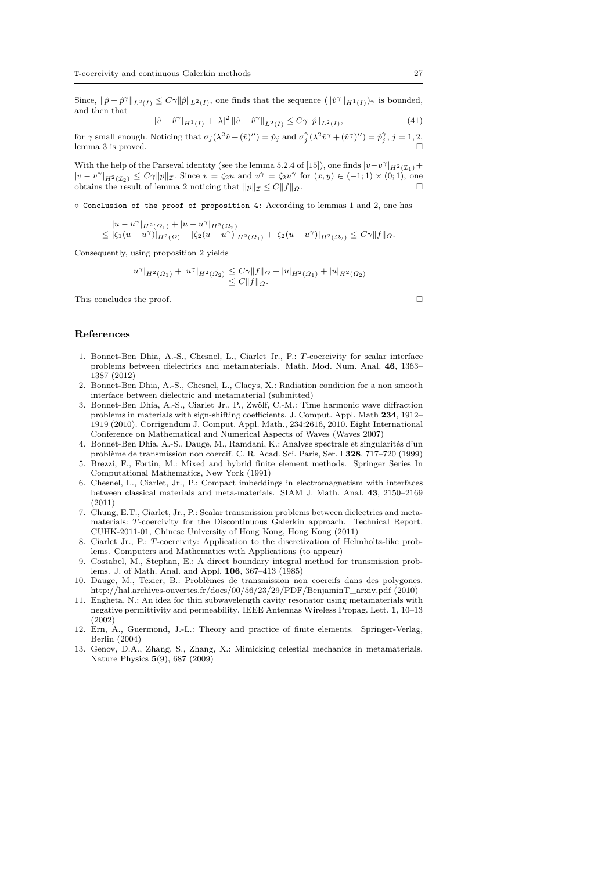Since,  $\|\hat{p} - \hat{p}^{\gamma}\|_{L^2(I)} \leq C\gamma \|\hat{p}\|_{L^2(I)}$ , one finds that the sequence  $(\|\hat{v}^{\gamma}\|_{H^1(I)})_{\gamma}$  is bounded, and then that

$$
|\hat{v} - \hat{v}^{\gamma}|_{H^{1}(I)} + |\lambda|^{2} \|\hat{v} - \hat{v}^{\gamma}\|_{L^{2}(I)} \leq C\gamma \|\hat{p}\|_{L^{2}(I)},
$$
\n(41)

for  $\gamma$  small enough. Noticing that  $\sigma_j(\lambda^2 \hat{v} + (\hat{v})'') = \hat{p}_j$  and  $\sigma_j^{\gamma}(\lambda^2 \hat{v}^{\gamma} + (\hat{v}^{\gamma})'') = \hat{p}_j^{\gamma}, j = 1, 2$ , lemma 3 is proved.

With the help of the Parseval identity (see the lemma 5.2.4 of [15]), one finds  $|v-v^{\gamma}|_{H^2(\mathcal{I}_1)} +$  $|v - v^{\gamma}|_{H^2(\mathcal{I}_2)} \leq C_{\gamma} \|p\|_{\mathcal{I}}$ . Since  $v = \zeta_2 u$  and  $v^{\gamma} = \zeta_2 u^{\gamma}$  for  $(x, y) \in (-1, 1) \times (0, 1)$ , one obtains the result of lemma 2 noticing that  $||p||_{\mathcal{I}} \leq C||f||_{\Omega}$ .

 $\diamond$  Conclusion of the proof of proposition 4: According to lemmas 1 and 2, one has

$$
|u - u^{\gamma}|_{H^2(\Omega_1)} + |u - u^{\gamma}|_{H^2(\Omega_2)} \leq |\zeta_1(u - u^{\gamma})|_{H^2(\Omega)} + |\zeta_2(u - u^{\gamma})|_{H^2(\Omega_1)} + |\zeta_2(u - u^{\gamma})|_{H^2(\Omega_2)} \leq C\gamma||f||_{\Omega}.
$$

Consequently, using proposition 2 yields

$$
|u^{\gamma}|_{H^2(\Omega_1)} + |u^{\gamma}|_{H^2(\Omega_2)} \leq C\gamma \|f\|_{\Omega} + |u|_{H^2(\Omega_1)} + |u|_{H^2(\Omega_2)}
$$
  

$$
\leq C \|f\|_{\Omega}.
$$

This concludes the proof.

# **References**

- 1. Bonnet-Ben Dhia, A.-S., Chesnel, L., Ciarlet Jr., P.: *T*-coercivity for scalar interface problems between dielectrics and metamaterials. Math. Mod. Num. Anal. **46**, 1363– 1387 (2012)
- 2. Bonnet-Ben Dhia, A.-S., Chesnel, L., Claeys, X.: Radiation condition for a non smooth interface between dielectric and metamaterial (submitted)
- 3. Bonnet-Ben Dhia, A.-S., Ciarlet Jr., P., Zwölf, C.-M.: Time harmonic wave diffraction problems in materials with sign-shifting coefficients. J. Comput. Appl. Math **234**, 1912– 1919 (2010). Corrigendum J. Comput. Appl. Math., 234:2616, 2010. Eight International Conference on Mathematical and Numerical Aspects of Waves (Waves 2007)
- 4. Bonnet-Ben Dhia, A.-S., Dauge, M., Ramdani, K.: Analyse spectrale et singularités d'un problème de transmission non coercif. C. R. Acad. Sci. Paris, Ser. I **328**, 717–720 (1999)
- 5. Brezzi, F., Fortin, M.: Mixed and hybrid finite element methods. Springer Series In Computational Mathematics, New York (1991)
- 6. Chesnel, L., Ciarlet, Jr., P.: Compact imbeddings in electromagnetism with interfaces between classical materials and meta-materials. SIAM J. Math. Anal. **43**, 2150–2169 (2011)
- 7. Chung, E.T., Ciarlet, Jr., P.: Scalar transmission problems between dielectrics and metamaterials: *T*-coercivity for the Discontinuous Galerkin approach. Technical Report, CUHK-2011-01, Chinese University of Hong Kong, Hong Kong (2011)
- 8. Ciarlet Jr., P.: *T*-coercivity: Application to the discretization of Helmholtz-like problems. Computers and Mathematics with Applications (to appear)
- 9. Costabel, M., Stephan, E.: A direct boundary integral method for transmission problems. J. of Math. Anal. and Appl. **106**, 367–413 (1985)
- 10. Dauge, M., Texier, B.: Problèmes de transmission non coercifs dans des polygones. http://hal.archives-ouvertes.fr/docs/00/56/23/29/PDF/BenjaminT\_arxiv.pdf (2010)
- 11. Engheta, N.: An idea for thin subwavelength cavity resonator using metamaterials with negative permittivity and permeability. IEEE Antennas Wireless Propag. Lett. **1**, 10–13 (2002)
- 12. Ern, A., Guermond, J.-L.: Theory and practice of finite elements. Springer-Verlag, Berlin (2004)
- 13. Genov, D.A., Zhang, S., Zhang, X.: Mimicking celestial mechanics in metamaterials. Nature Physics **5**(9), 687 (2009)